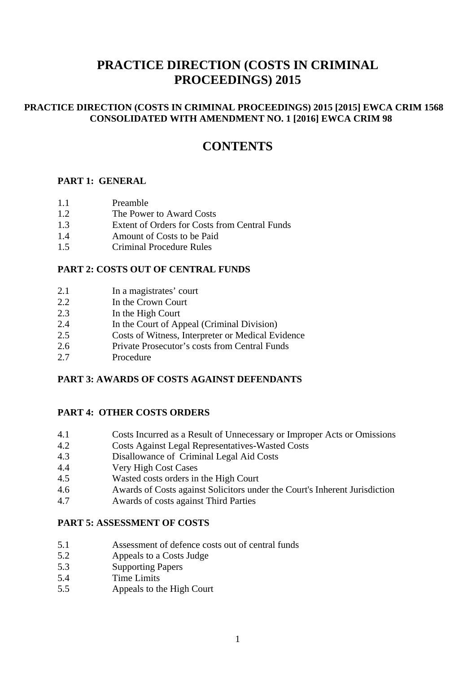# **PRACTICE DIRECTION (COSTS IN CRIMINAL PROCEEDINGS) 2015**

# **PRACTICE DIRECTION (COSTS IN CRIMINAL PROCEEDINGS) 2015 [2015] EWCA CRIM 1568 CONSOLIDATED WITH AMENDMENT NO. 1 [2016] EWCA CRIM 98**

# **CONTENTS**

# **PART 1: GENERAL**

- 1.1 Preamble
- 1.2 The Power to Award Costs
- 1.3 Extent of Orders for Costs from Central Funds
- 1.4 Amount of Costs to be Paid
- 1.5 Criminal Procedure Rules

# **PART 2: COSTS OUT OF CENTRAL FUNDS**

- 2.1 In a magistrates' court
- 2.2 In the Crown Court
- 2.3 In the High Court
- 2.4 In the Court of Appeal (Criminal Division)
- 2.5 Costs of Witness, Interpreter or Medical Evidence
- 2.6 Private Prosecutor's costs from Central Funds
- 2.7 Procedure

# **PART 3: AWARDS OF COSTS AGAINST DEFENDANTS**

# **PART 4: OTHER COSTS ORDERS**

- 4.1 Costs Incurred as a Result of Unnecessary or Improper Acts or Omissions
- 4.2 Costs Against Legal Representatives-Wasted Costs
- 4.3 Disallowance of Criminal Legal Aid Costs
- 4.4 Very High Cost Cases
- 4.5 Wasted costs orders in the High Court
- 4.6 Awards of Costs against Solicitors under the Court's Inherent Jurisdiction
- 4.7 Awards of costs against Third Parties

# **PART 5: ASSESSMENT OF COSTS**

- 5.1 Assessment of defence costs out of central funds
- 5.2 Appeals to a Costs Judge
- 5.3 Supporting Papers
- 5.4 Time Limits
- 5.5 Appeals to the High Court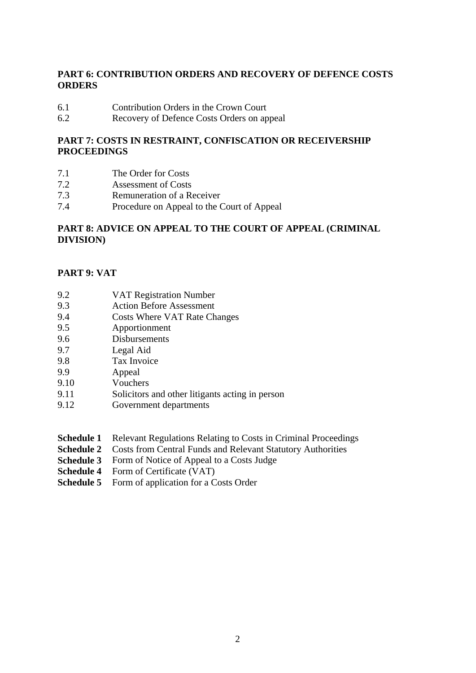# **PART 6: CONTRIBUTION ORDERS AND RECOVERY OF DEFENCE COSTS ORDERS**

- 6.1 Contribution Orders in the Crown Court
- 6.2 Recovery of Defence Costs Orders on appeal

# **PART 7: COSTS IN RESTRAINT, CONFISCATION OR RECEIVERSHIP PROCEEDINGS**

- 7.1 The Order for Costs
- 7.2 Assessment of Costs
- 7.3 Remuneration of a Receiver
- 7.4 Procedure on Appeal to the Court of Appeal

## **PART 8: ADVICE ON APPEAL TO THE COURT OF APPEAL (CRIMINAL DIVISION)**

#### **PART 9: VAT**

- 9.2 VAT Registration Number
- 9.3 Action Before Assessment
- 9.4 Costs Where VAT Rate Changes
- 9.5 Apportionment
- 9.6 Disbursements
- 9.7 Legal Aid
- 9.8 Tax Invoice
- 9.9 Appeal
- 9.10 Vouchers
- 9.11 Solicitors and other litigants acting in person
- 9.12 Government departments
- **Schedule 1** Relevant Regulations Relating to Costs in Criminal Proceedings
- **Schedule 2** Costs from Central Funds and Relevant Statutory Authorities
- **Schedule 3** Form of Notice of Appeal to a Costs Judge
- **Schedule 4** Form of Certificate (VAT)
- **Schedule 5** Form of application for a Costs Order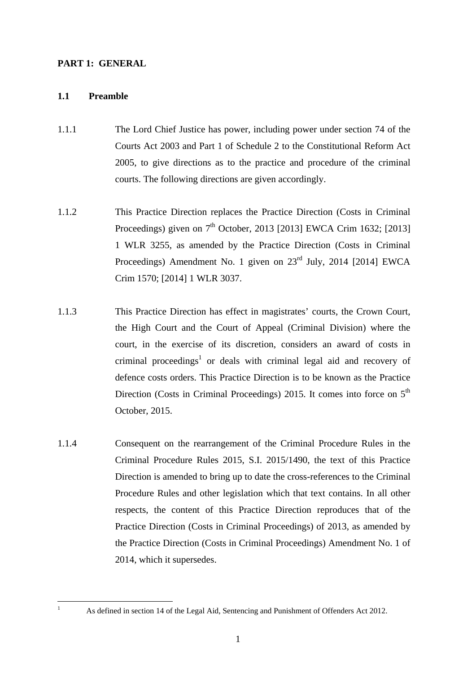#### **PART 1: GENERAL**

## **1.1 Preamble**

- 1.1.1 The Lord Chief Justice has power, including power under section 74 of the Courts Act 2003 and Part 1 of Schedule 2 to the Constitutional Reform Act 2005, to give directions as to the practice and procedure of the criminal courts. The following directions are given accordingly.
- 1.1.2 This Practice Direction replaces the Practice Direction (Costs in Criminal Proceedings) given on  $7<sup>th</sup>$  October, 2013 [2013] EWCA Crim 1632; [2013] 1 WLR 3255, as amended by the Practice Direction (Costs in Criminal Proceedings) Amendment No. 1 given on 23<sup>rd</sup> July, 2014 [2014] EWCA Crim 1570; [2014] 1 WLR 3037.
- 1.1.3 This Practice Direction has effect in magistrates' courts, the Crown Court, the High Court and the Court of Appeal (Criminal Division) where the court, in the exercise of its discretion, considers an award of costs in criminal proceedings<sup>1</sup> or deals with criminal legal aid and recovery of defence costs orders. This Practice Direction is to be known as the Practice Direction (Costs in Criminal Proceedings) 2015. It comes into force on  $5<sup>th</sup>$ October, 2015.
- 1.1.4 Consequent on the rearrangement of the Criminal Procedure Rules in the Criminal Procedure Rules 2015, S.I. 2015/1490, the text of this Practice Direction is amended to bring up to date the cross-references to the Criminal Procedure Rules and other legislation which that text contains. In all other respects, the content of this Practice Direction reproduces that of the Practice Direction (Costs in Criminal Proceedings) of 2013, as amended by the Practice Direction (Costs in Criminal Proceedings) Amendment No. 1 of 2014, which it supersedes.

1 1

As defined in section 14 of the Legal Aid, Sentencing and Punishment of Offenders Act 2012.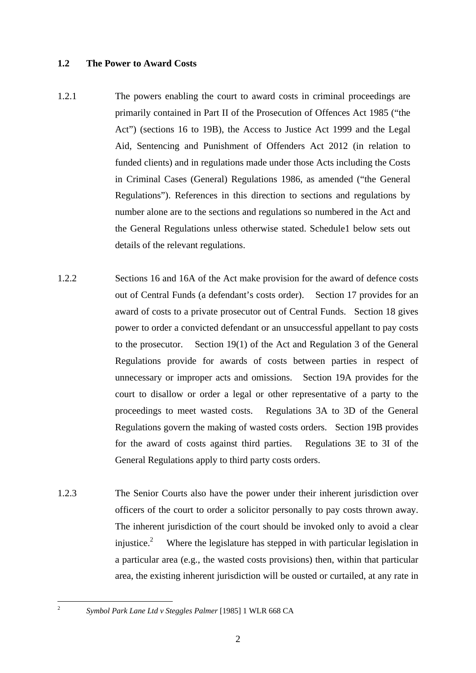#### **1.2 The Power to Award Costs**

- 1.2.1 The powers enabling the court to award costs in criminal proceedings are primarily contained in Part II of the Prosecution of Offences Act 1985 ("the Act") (sections 16 to 19B), the Access to Justice Act 1999 and the Legal Aid, Sentencing and Punishment of Offenders Act 2012 (in relation to funded clients) and in regulations made under those Acts including the Costs in Criminal Cases (General) Regulations 1986, as amended ("the General Regulations"). References in this direction to sections and regulations by number alone are to the sections and regulations so numbered in the Act and the General Regulations unless otherwise stated. Schedule1 below sets out details of the relevant regulations.
- out of Central Funds (a defendant's costs order). Section 17 provides for an to the prosecutor. proceedings to meet wasted costs. 1.2.2 Sections 16 and 16A of the Act make provision for the award of defence costs award of costs to a private prosecutor out of Central Funds. Section 18 gives power to order a convicted defendant or an unsuccessful appellant to pay costs Section 19(1) of the Act and Regulation 3 of the General Regulations provide for awards of costs between parties in respect of unnecessary or improper acts and omissions. Section 19A provides for the court to disallow or order a legal or other representative of a party to the Regulations 3A to 3D of the General Regulations govern the making of wasted costs orders. Section 19B provides for the award of costs against third parties. Regulations 3E to 3I of the General Regulations apply to third party costs orders.
- 1.2.3 The Senior Courts also have the power under their inherent jurisdiction over officers of the court to order a solicitor personally to pay costs thrown away. The inherent jurisdiction of the court should be invoked only to avoid a clear injustice. $2$  Where the legislature has stepped in with particular legislation in a particular area (e.g., the wasted costs provisions) then, within that particular area, the existing inherent jurisdiction will be ousted or curtailed, at any rate in

 $\overline{2}$ 

<sup>2</sup>*Symbol Park Lane Ltd v Steggles Palmer* [1985] 1 WLR 668 CA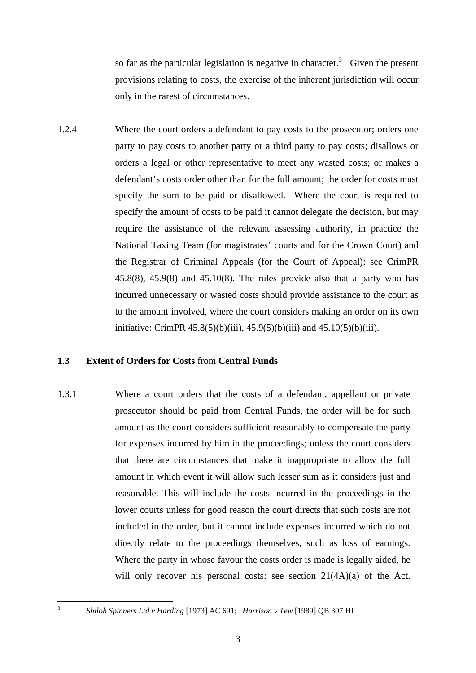so far as the particular legislation is negative in character.<sup>3</sup> Given the present provisions relating to costs, the exercise of the inherent jurisdiction will occur only in the rarest of circumstances.

1.2.4 Where the court orders a defendant to pay costs to the prosecutor; orders one party to pay costs to another party or a third party to pay costs; disallows or orders a legal or other representative to meet any wasted costs; or makes a defendant's costs order other than for the full amount; the order for costs must specify the sum to be paid or disallowed. Where the court is required to specify the amount of costs to be paid it cannot delegate the decision, but may require the assistance of the relevant assessing authority, in practice the National Taxing Team (for magistrates' courts and for the Crown Court) and the Registrar of Criminal Appeals (for the Court of Appeal): see CrimPR 45.8(8), 45.9(8) and 45.10(8). The rules provide also that a party who has incurred unnecessary or wasted costs should provide assistance to the court as to the amount involved, where the court considers making an order on its own initiative: CrimPR  $45.8(5)(b)(iii)$ ,  $45.9(5)(b)(iii)$  and  $45.10(5)(b)(iii)$ .

## **1.3 Extent of Orders for Costs** from **Central Funds**

1.3.1 Where a court orders that the costs of a defendant, appellant or private prosecutor should be paid from Central Funds, the order will be for such amount as the court considers sufficient reasonably to compensate the party for expenses incurred by him in the proceedings; unless the court considers that there are circumstances that make it inappropriate to allow the full amount in which event it will allow such lesser sum as it considers just and reasonable. This will include the costs incurred in the proceedings in the lower courts unless for good reason the court directs that such costs are not included in the order, but it cannot include expenses incurred which do not directly relate to the proceedings themselves, such as loss of earnings. Where the party in whose favour the costs order is made is legally aided, he will only recover his personal costs: see section 21(4A)(a) of the Act.

 $\overline{3}$ 

<sup>3</sup>*Shiloh Spinners Ltd v Harding* [1973] AC 691; *Harrison v Tew* [1989] QB 307 HL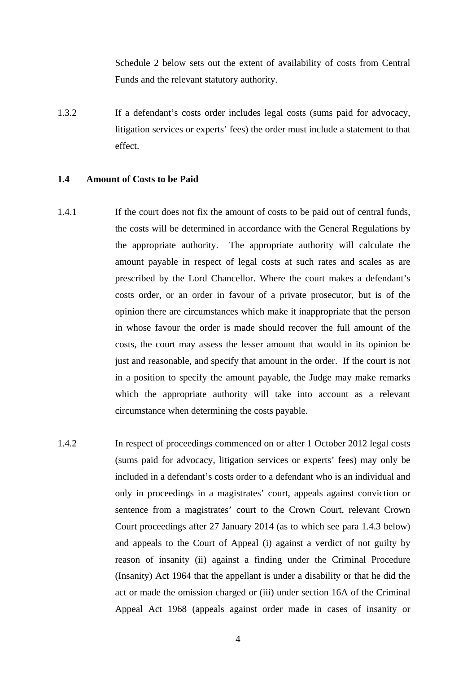Schedule 2 below sets out the extent of availability of costs from Central Funds and the relevant statutory authority.

1.3.2 If a defendant's costs order includes legal costs (sums paid for advocacy, litigation services or experts' fees) the order must include a statement to that effect.

#### **1.4 Amount of Costs to be Paid**

- 1.4.1 If the court does not fix the amount of costs to be paid out of central funds, the costs will be determined in accordance with the General Regulations by the appropriate authority. The appropriate authority will calculate the amount payable in respect of legal costs at such rates and scales as are prescribed by the Lord Chancellor. Where the court makes a defendant's costs order, or an order in favour of a private prosecutor, but is of the opinion there are circumstances which make it inappropriate that the person in whose favour the order is made should recover the full amount of the costs, the court may assess the lesser amount that would in its opinion be just and reasonable, and specify that amount in the order. If the court is not in a position to specify the amount payable, the Judge may make remarks which the appropriate authority will take into account as a relevant circumstance when determining the costs payable.
- 1.4.2 In respect of proceedings commenced on or after 1 October 2012 legal costs (sums paid for advocacy, litigation services or experts' fees) may only be included in a defendant's costs order to a defendant who is an individual and only in proceedings in a magistrates' court, appeals against conviction or sentence from a magistrates' court to the Crown Court, relevant Crown Court proceedings after 27 January 2014 (as to which see para 1.4.3 below) and appeals to the Court of Appeal (i) against a verdict of not guilty by reason of insanity (ii) against a finding under the Criminal Procedure (Insanity) Act 1964 that the appellant is under a disability or that he did the act or made the omission charged or (iii) under section 16A of the Criminal Appeal Act 1968 (appeals against order made in cases of insanity or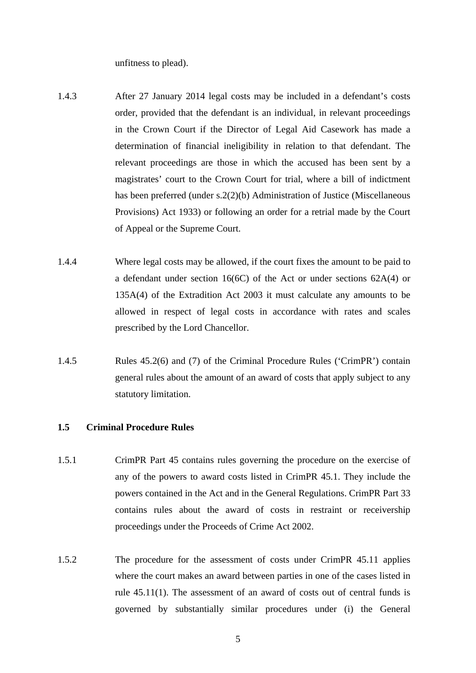unfitness to plead).

- 1.4.3 After 27 January 2014 legal costs may be included in a defendant's costs order, provided that the defendant is an individual, in relevant proceedings in the Crown Court if the Director of Legal Aid Casework has made a determination of financial ineligibility in relation to that defendant. The relevant proceedings are those in which the accused has been sent by a magistrates' court to the Crown Court for trial, where a bill of indictment has been preferred (under s.2(2)(b) Administration of Justice (Miscellaneous Provisions) Act 1933) or following an order for a retrial made by the Court of Appeal or the Supreme Court.
- 1.4.4 Where legal costs may be allowed, if the court fixes the amount to be paid to a defendant under section 16(6C) of the Act or under sections 62A(4) or 135A(4) of the Extradition Act 2003 it must calculate any amounts to be allowed in respect of legal costs in accordance with rates and scales prescribed by the Lord Chancellor.
- 1.4.5 Rules 45.2(6) and (7) of the Criminal Procedure Rules ('CrimPR') contain general rules about the amount of an award of costs that apply subject to any statutory limitation.

# **1.5 Criminal Procedure Rules**

- 1.5.1 CrimPR Part 45 contains rules governing the procedure on the exercise of any of the powers to award costs listed in CrimPR 45.1. They include the powers contained in the Act and in the General Regulations. CrimPR Part 33 contains rules about the award of costs in restraint or receivership proceedings under the Proceeds of Crime Act 2002.
- 1.5.2 The procedure for the assessment of costs under CrimPR 45.11 applies where the court makes an award between parties in one of the cases listed in rule 45.11(1). The assessment of an award of costs out of central funds is governed by substantially similar procedures under (i) the General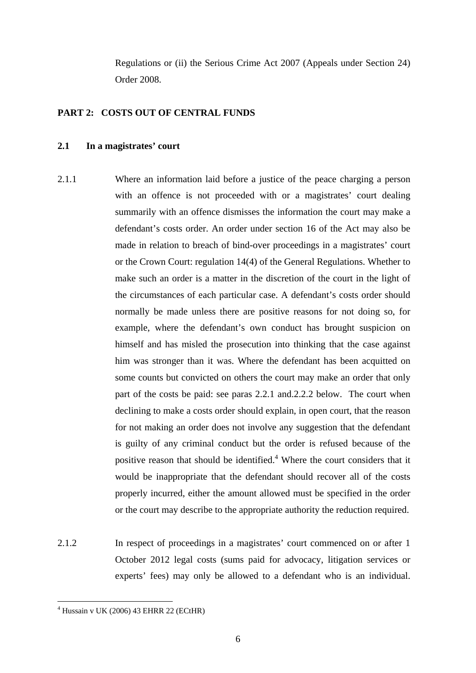Regulations or (ii) the Serious Crime Act 2007 (Appeals under Section 24) Order 2008.

# **PART 2: COSTS OUT OF CENTRAL FUNDS**

#### **2.1 In a magistrates' court**

- 2.1.1 Where an information laid before a justice of the peace charging a person with an offence is not proceeded with or a magistrates' court dealing summarily with an offence dismisses the information the court may make a defendant's costs order. An order under section 16 of the Act may also be made in relation to breach of bind-over proceedings in a magistrates' court or the Crown Court: regulation 14(4) of the General Regulations. Whether to make such an order is a matter in the discretion of the court in the light of the circumstances of each particular case. A defendant's costs order should normally be made unless there are positive reasons for not doing so, for example, where the defendant's own conduct has brought suspicion on himself and has misled the prosecution into thinking that the case against him was stronger than it was. Where the defendant has been acquitted on some counts but convicted on others the court may make an order that only part of the costs be paid: see paras 2.2.1 and.2.2.2 below. The court when declining to make a costs order should explain, in open court, that the reason for not making an order does not involve any suggestion that the defendant is guilty of any criminal conduct but the order is refused because of the positive reason that should be identified.<sup>4</sup> Where the court considers that it would be inappropriate that the defendant should recover all of the costs properly incurred, either the amount allowed must be specified in the order or the court may describe to the appropriate authority the reduction required.
- 2.1.2 In respect of proceedings in a magistrates' court commenced on or after 1 October 2012 legal costs (sums paid for advocacy, litigation services or experts' fees) may only be allowed to a defendant who is an individual.

1

<sup>4</sup> Hussain v UK (2006) 43 EHRR 22 (ECtHR)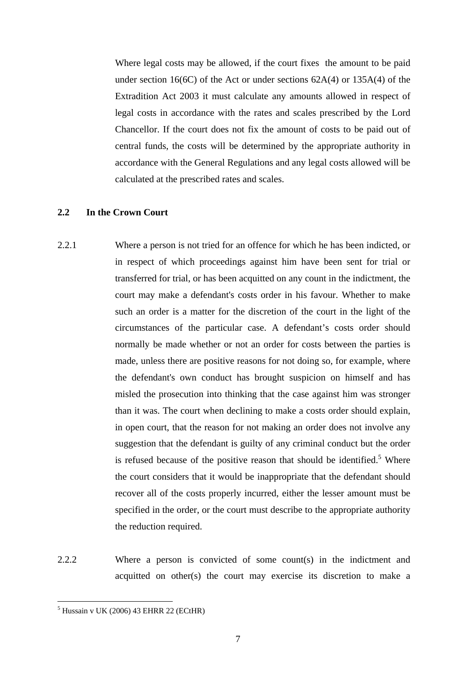Where legal costs may be allowed, if the court fixes the amount to be paid under section 16(6C) of the Act or under sections 62A(4) or 135A(4) of the Extradition Act 2003 it must calculate any amounts allowed in respect of legal costs in accordance with the rates and scales prescribed by the Lord Chancellor. If the court does not fix the amount of costs to be paid out of central funds, the costs will be determined by the appropriate authority in accordance with the General Regulations and any legal costs allowed will be calculated at the prescribed rates and scales.

#### **2.2 In the Crown Court**

- 2.2.1 Where a person is not tried for an offence for which he has been indicted, or in respect of which proceedings against him have been sent for trial or transferred for trial, or has been acquitted on any count in the indictment, the court may make a defendant's costs order in his favour. Whether to make such an order is a matter for the discretion of the court in the light of the circumstances of the particular case. A defendant's costs order should normally be made whether or not an order for costs between the parties is made, unless there are positive reasons for not doing so, for example, where the defendant's own conduct has brought suspicion on himself and has misled the prosecution into thinking that the case against him was stronger than it was. The court when declining to make a costs order should explain, in open court, that the reason for not making an order does not involve any suggestion that the defendant is guilty of any criminal conduct but the order is refused because of the positive reason that should be identified.<sup>5</sup> Where the court considers that it would be inappropriate that the defendant should recover all of the costs properly incurred, either the lesser amount must be specified in the order, or the court must describe to the appropriate authority the reduction required.
- 2.2.2 Where a person is convicted of some count(s) in the indictment and acquitted on other(s) the court may exercise its discretion to make a

1

<sup>5</sup> Hussain v UK (2006) 43 EHRR 22 (ECtHR)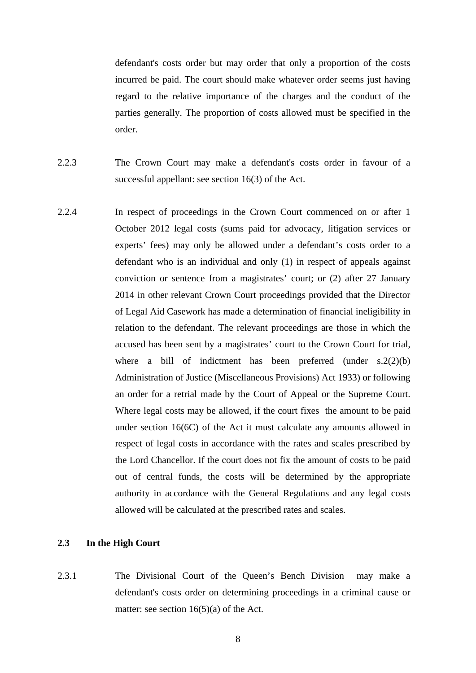defendant's costs order but may order that only a proportion of the costs incurred be paid. The court should make whatever order seems just having regard to the relative importance of the charges and the conduct of the parties generally. The proportion of costs allowed must be specified in the order.

- 2.2.3 The Crown Court may make a defendant's costs order in favour of a successful appellant: see section 16(3) of the Act.
- 2.2.4 In respect of proceedings in the Crown Court commenced on or after 1 October 2012 legal costs (sums paid for advocacy, litigation services or experts' fees) may only be allowed under a defendant's costs order to a defendant who is an individual and only (1) in respect of appeals against conviction or sentence from a magistrates' court; or (2) after 27 January 2014 in other relevant Crown Court proceedings provided that the Director of Legal Aid Casework has made a determination of financial ineligibility in relation to the defendant. The relevant proceedings are those in which the accused has been sent by a magistrates' court to the Crown Court for trial, where a bill of indictment has been preferred (under s.2(2)(b) Administration of Justice (Miscellaneous Provisions) Act 1933) or following an order for a retrial made by the Court of Appeal or the Supreme Court. Where legal costs may be allowed, if the court fixes the amount to be paid under section 16(6C) of the Act it must calculate any amounts allowed in respect of legal costs in accordance with the rates and scales prescribed by the Lord Chancellor. If the court does not fix the amount of costs to be paid out of central funds, the costs will be determined by the appropriate authority in accordance with the General Regulations and any legal costs allowed will be calculated at the prescribed rates and scales.

#### **2.3 In the High Court**

2.3.1 The Divisional Court of the Queen's Bench Division may make a defendant's costs order on determining proceedings in a criminal cause or matter: see section 16(5)(a) of the Act.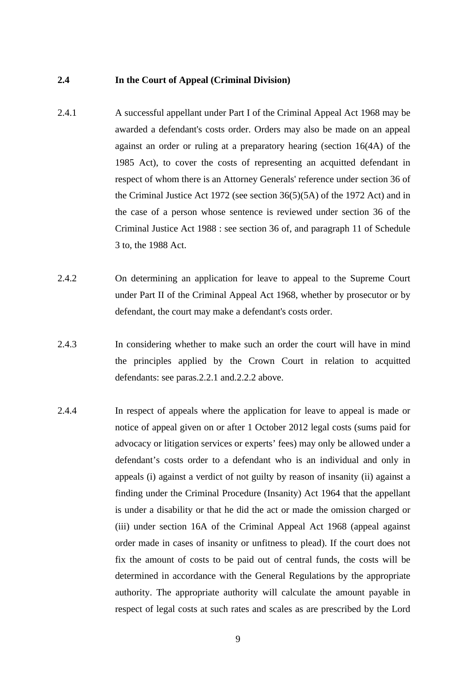## **2.4 In the Court of Appeal (Criminal Division)**

- 2.4.1 A successful appellant under Part I of the Criminal Appeal Act 1968 may be awarded a defendant's costs order. Orders may also be made on an appeal against an order or ruling at a preparatory hearing (section 16(4A) of the 1985 Act), to cover the costs of representing an acquitted defendant in respect of whom there is an Attorney Generals' reference under section 36 of the Criminal Justice Act 1972 (see section 36(5)(5A) of the 1972 Act) and in the case of a person whose sentence is reviewed under section 36 of the Criminal Justice Act 1988 : see section 36 of, and paragraph 11 of Schedule 3 to, the 1988 Act.
- 2.4.2 On determining an application for leave to appeal to the Supreme Court under Part II of the Criminal Appeal Act 1968, whether by prosecutor or by defendant, the court may make a defendant's costs order.
- 2.4.3 In considering whether to make such an order the court will have in mind the principles applied by the Crown Court in relation to acquitted defendants: see paras.2.2.1 and.2.2.2 above.
- 2.4.4 In respect of appeals where the application for leave to appeal is made or notice of appeal given on or after 1 October 2012 legal costs (sums paid for advocacy or litigation services or experts' fees) may only be allowed under a defendant's costs order to a defendant who is an individual and only in appeals (i) against a verdict of not guilty by reason of insanity (ii) against a finding under the Criminal Procedure (Insanity) Act 1964 that the appellant is under a disability or that he did the act or made the omission charged or (iii) under section 16A of the Criminal Appeal Act 1968 (appeal against order made in cases of insanity or unfitness to plead). If the court does not fix the amount of costs to be paid out of central funds, the costs will be determined in accordance with the General Regulations by the appropriate authority. The appropriate authority will calculate the amount payable in respect of legal costs at such rates and scales as are prescribed by the Lord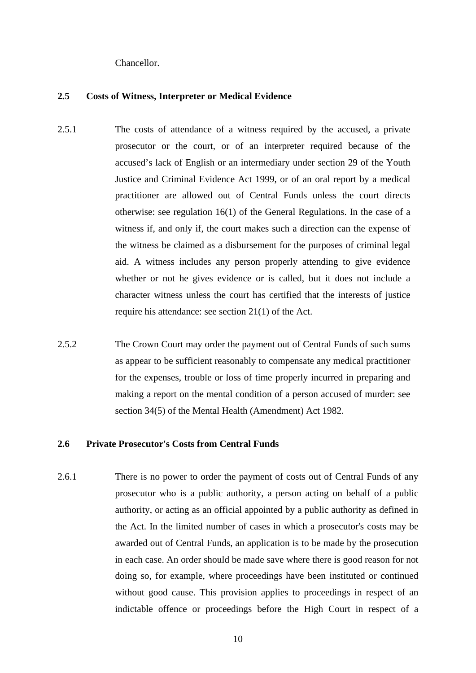Chancellor.

### **2.5 Costs of Witness, Interpreter or Medical Evidence**

- 2.5.1 The costs of attendance of a witness required by the accused, a private prosecutor or the court, or of an interpreter required because of the accused's lack of English or an intermediary under section 29 of the Youth Justice and Criminal Evidence Act 1999, or of an oral report by a medical practitioner are allowed out of Central Funds unless the court directs otherwise: see regulation 16(1) of the General Regulations. In the case of a witness if, and only if, the court makes such a direction can the expense of the witness be claimed as a disbursement for the purposes of criminal legal aid. A witness includes any person properly attending to give evidence whether or not he gives evidence or is called, but it does not include a character witness unless the court has certified that the interests of justice require his attendance: see section 21(1) of the Act.
- 2.5.2 The Crown Court may order the payment out of Central Funds of such sums as appear to be sufficient reasonably to compensate any medical practitioner for the expenses, trouble or loss of time properly incurred in preparing and making a report on the mental condition of a person accused of murder: see section 34(5) of the Mental Health (Amendment) Act 1982.

#### **2.6 Private Prosecutor's Costs from Central Funds**

2.6.1 There is no power to order the payment of costs out of Central Funds of any prosecutor who is a public authority, a person acting on behalf of a public authority, or acting as an official appointed by a public authority as defined in the Act. In the limited number of cases in which a prosecutor's costs may be awarded out of Central Funds, an application is to be made by the prosecution in each case. An order should be made save where there is good reason for not doing so, for example, where proceedings have been instituted or continued without good cause. This provision applies to proceedings in respect of an indictable offence or proceedings before the High Court in respect of a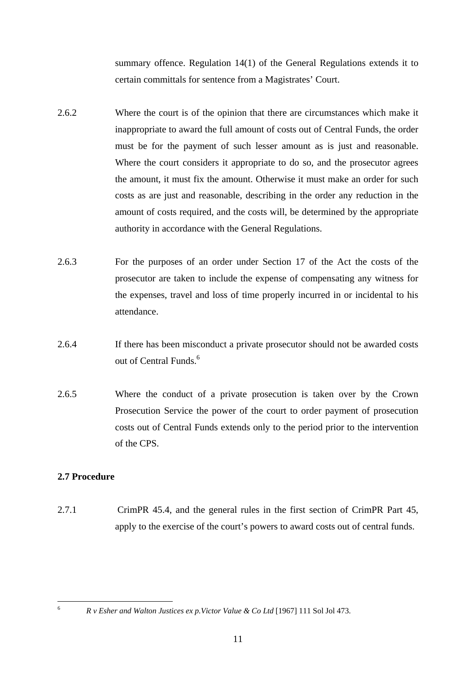summary offence. Regulation 14(1) of the General Regulations extends it to certain committals for sentence from a Magistrates' Court.

- 2.6.2 Where the court is of the opinion that there are circumstances which make it inappropriate to award the full amount of costs out of Central Funds, the order must be for the payment of such lesser amount as is just and reasonable. Where the court considers it appropriate to do so, and the prosecutor agrees the amount, it must fix the amount. Otherwise it must make an order for such costs as are just and reasonable, describing in the order any reduction in the amount of costs required, and the costs will, be determined by the appropriate authority in accordance with the General Regulations.
- 2.6.3 For the purposes of an order under Section 17 of the Act the costs of the prosecutor are taken to include the expense of compensating any witness for the expenses, travel and loss of time properly incurred in or incidental to his attendance.
- 2.6.4 If there has been misconduct a private prosecutor should not be awarded costs out of Central Funds.<sup>6</sup>
- 2.6.5 Where the conduct of a private prosecution is taken over by the Crown Prosecution Service the power of the court to order payment of prosecution costs out of Central Funds extends only to the period prior to the intervention of the CPS.

# **2.7 Procedure**

2.7.1 CrimPR 45.4, and the general rules in the first section of CrimPR Part 45, apply to the exercise of the court's powers to award costs out of central funds.

1 6

*R v Esher and Walton Justices ex p.Victor Value & Co Ltd* [1967] 111 Sol Jol 473.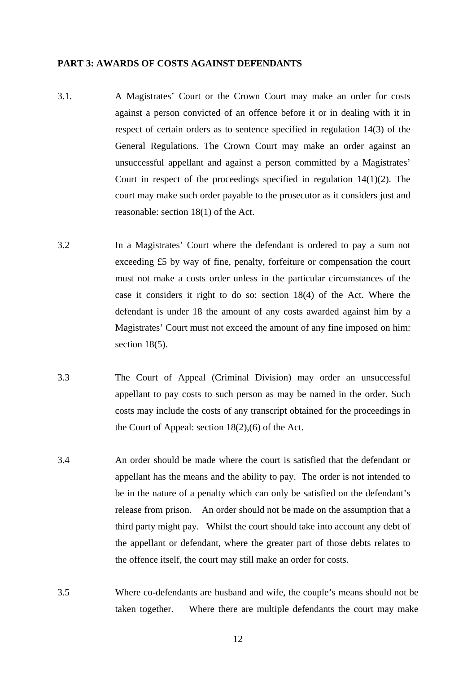#### **PART 3: AWARDS OF COSTS AGAINST DEFENDANTS**

- 3.1. A Magistrates' Court or the Crown Court may make an order for costs against a person convicted of an offence before it or in dealing with it in respect of certain orders as to sentence specified in regulation 14(3) of the General Regulations. The Crown Court may make an order against an unsuccessful appellant and against a person committed by a Magistrates' Court in respect of the proceedings specified in regulation  $14(1)(2)$ . The court may make such order payable to the prosecutor as it considers just and reasonable: section 18(1) of the Act.
- 3.2 In a Magistrates' Court where the defendant is ordered to pay a sum not exceeding £5 by way of fine, penalty, forfeiture or compensation the court must not make a costs order unless in the particular circumstances of the case it considers it right to do so: section 18(4) of the Act. Where the defendant is under 18 the amount of any costs awarded against him by a Magistrates' Court must not exceed the amount of any fine imposed on him: section 18(5).
- 3.3 The Court of Appeal (Criminal Division) may order an unsuccessful appellant to pay costs to such person as may be named in the order. Such costs may include the costs of any transcript obtained for the proceedings in the Court of Appeal: section 18(2),(6) of the Act.
- release from prison. An order should not be made on the assumption that a 3.4 An order should be made where the court is satisfied that the defendant or appellant has the means and the ability to pay. The order is not intended to be in the nature of a penalty which can only be satisfied on the defendant's third party might pay. Whilst the court should take into account any debt of the appellant or defendant, where the greater part of those debts relates to the offence itself, the court may still make an order for costs.
- Where co-defendants are husband and wife, the couple's means should not be taken together. Where there are multiple defendants the court may make 3.5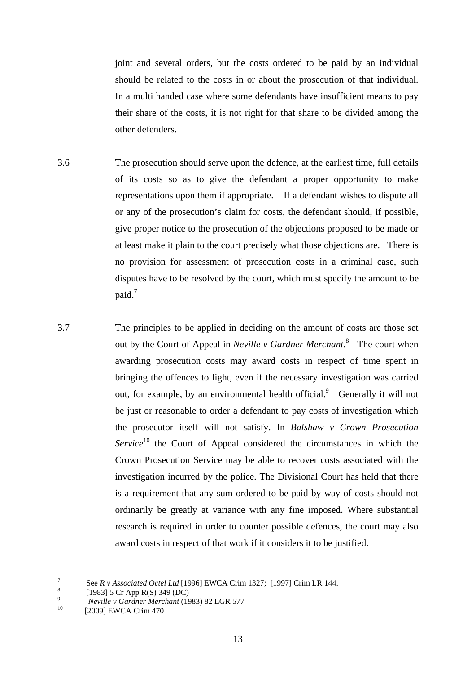should be related to the costs in or about the prosecution of that individual. joint and several orders, but the costs ordered to be paid by an individual In a multi handed case where some defendants have insufficient means to pay their share of the costs, it is not right for that share to be divided among the other defenders.

- representations upon them if appropriate. If a defendant wishes to dispute all 3.6 The prosecution should serve upon the defence, at the earliest time, full details of its costs so as to give the defendant a proper opportunity to make or any of the prosecution's claim for costs, the defendant should, if possible, give proper notice to the prosecution of the objections proposed to be made or at least make it plain to the court precisely what those objections are. There is no provision for assessment of prosecution costs in a criminal case, such disputes have to be resolved by the court, which must specify the amount to be paid.7
- 3.7 The principles to be applied in deciding on the amount of costs are those set out by the Court of Appeal in *Neville v Gardner Merchant*. 8 The court when awarding prosecution costs may award costs in respect of time spent in bringing the offences to light, even if the necessary investigation was carried out, for example, by an environmental health official.<sup>9</sup> Generally it will not be just or reasonable to order a defendant to pay costs of investigation which the prosecutor itself will not satisfy. In *Balshaw v Crown Prosecution Service*<sup>10</sup> the Court of Appeal considered the circumstances in which the Crown Prosecution Service may be able to recover costs associated with the investigation incurred by the police. The Divisional Court has held that there is a requirement that any sum ordered to be paid by way of costs should not ordinarily be greatly at variance with any fine imposed. Where substantial research is required in order to counter possible defences, the court may also award costs in respect of that work if it considers it to be justified.

 $\overline{7}$ <sup>7</sup> See *R v Associated Octel Ltd* [1996] EWCA Crim 1327; [1997] Crim LR 144.<br><sup>8</sup> [1983] 5 Cr App R(S) 349 (DC)<br><sup>9</sup>

<sup>9</sup>*Neville v Gardner Merchant* (1983) 82 LGR 577 <sup>9</sup> Neville v Gardner Merchant (1983) 82 LGR 577<br><sup>10</sup> [2009] EWCA Crim 470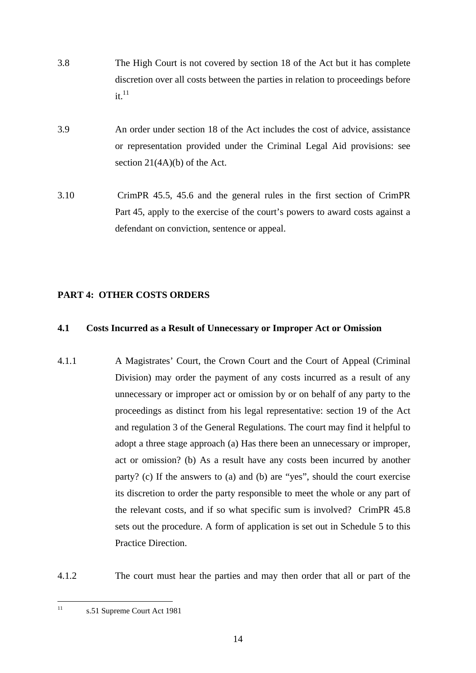- it. $11$ 3.8 The High Court is not covered by section 18 of the Act but it has complete discretion over all costs between the parties in relation to proceedings before
- 3.9 An order under section 18 of the Act includes the cost of advice, assistance or representation provided under the Criminal Legal Aid provisions: see section 21(4A)(b) of the Act.
- 3.10 CrimPR 45.5, 45.6 and the general rules in the first section of CrimPR Part 45, apply to the exercise of the court's powers to award costs against a defendant on conviction, sentence or appeal.

# **PART 4: OTHER COSTS ORDERS**

# **4.1 Costs Incurred as a Result of Unnecessary or Improper Act or Omission**

4.1.1 A Magistrates' Court, the Crown Court and the Court of Appeal (Criminal Division) may order the payment of any costs incurred as a result of any unnecessary or improper act or omission by or on behalf of any party to the proceedings as distinct from his legal representative: section 19 of the Act and regulation 3 of the General Regulations. The court may find it helpful to adopt a three stage approach (a) Has there been an unnecessary or improper, act or omission? (b) As a result have any costs been incurred by another party? (c) If the answers to (a) and (b) are "yes", should the court exercise its discretion to order the party responsible to meet the whole or any part of the relevant costs, and if so what specific sum is involved? CrimPR 45.8 sets out the procedure. A form of application is set out in Schedule 5 to this Practice Direction.

4.1.2 The court must hear the parties and may then order that all or part of the

1

s.51 Supreme Court Act 1981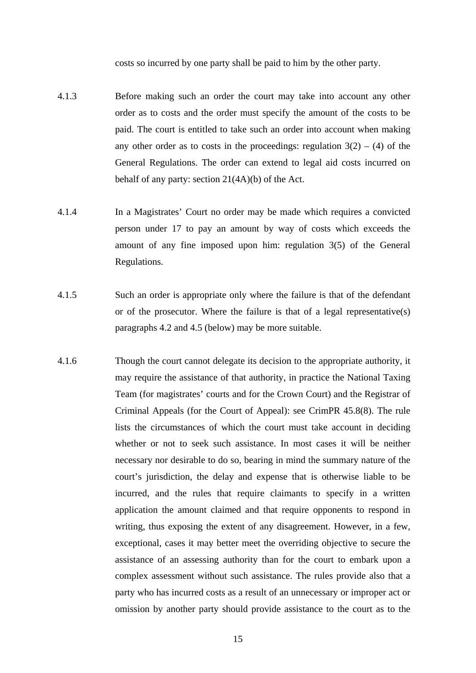costs so incurred by one party shall be paid to him by the other party.

- 4.1.3 Before making such an order the court may take into account any other order as to costs and the order must specify the amount of the costs to be paid. The court is entitled to take such an order into account when making any other order as to costs in the proceedings: regulation  $3(2) - (4)$  of the General Regulations. The order can extend to legal aid costs incurred on behalf of any party: section 21(4A)(b) of the Act.
- 4.1.4 In a Magistrates' Court no order may be made which requires a convicted person under 17 to pay an amount by way of costs which exceeds the amount of any fine imposed upon him: regulation 3(5) of the General Regulations.
- 4.1.5 Such an order is appropriate only where the failure is that of the defendant or of the prosecutor. Where the failure is that of a legal representative(s) paragraphs 4.2 and 4.5 (below) may be more suitable.
- 4.1.6 Though the court cannot delegate its decision to the appropriate authority, it may require the assistance of that authority, in practice the National Taxing Team (for magistrates' courts and for the Crown Court) and the Registrar of Criminal Appeals (for the Court of Appeal): see CrimPR 45.8(8). The rule lists the circumstances of which the court must take account in deciding whether or not to seek such assistance. In most cases it will be neither necessary nor desirable to do so, bearing in mind the summary nature of the court's jurisdiction, the delay and expense that is otherwise liable to be incurred, and the rules that require claimants to specify in a written application the amount claimed and that require opponents to respond in writing, thus exposing the extent of any disagreement. However, in a few, exceptional, cases it may better meet the overriding objective to secure the assistance of an assessing authority than for the court to embark upon a complex assessment without such assistance. The rules provide also that a party who has incurred costs as a result of an unnecessary or improper act or omission by another party should provide assistance to the court as to the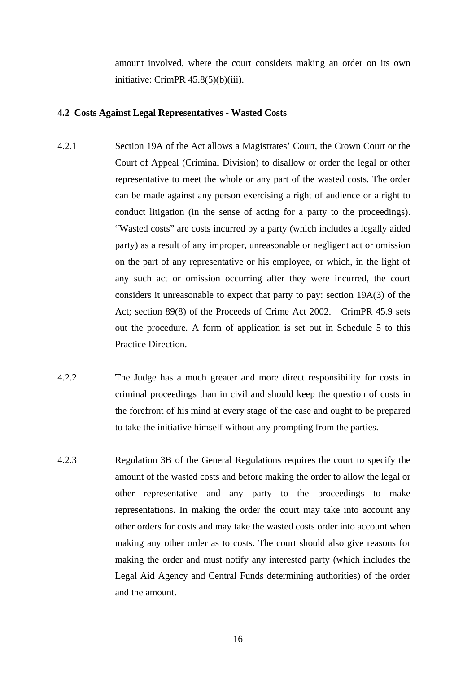amount involved, where the court considers making an order on its own initiative: CrimPR 45.8(5)(b)(iii).

#### **4.2 Costs Against Legal Representatives - Wasted Costs**

- 4.2.1 Section 19A of the Act allows a Magistrates' Court, the Crown Court or the Court of Appeal (Criminal Division) to disallow or order the legal or other representative to meet the whole or any part of the wasted costs. The order can be made against any person exercising a right of audience or a right to conduct litigation (in the sense of acting for a party to the proceedings). "Wasted costs" are costs incurred by a party (which includes a legally aided party) as a result of any improper, unreasonable or negligent act or omission on the part of any representative or his employee, or which, in the light of any such act or omission occurring after they were incurred, the court considers it unreasonable to expect that party to pay: section 19A(3) of the Act; section 89(8) of the Proceeds of Crime Act 2002. CrimPR 45.9 sets out the procedure. A form of application is set out in Schedule 5 to this Practice Direction.
- 4.2.2 The Judge has a much greater and more direct responsibility for costs in criminal proceedings than in civil and should keep the question of costs in the forefront of his mind at every stage of the case and ought to be prepared to take the initiative himself without any prompting from the parties.
- 4.2.3 Regulation 3B of the General Regulations requires the court to specify the amount of the wasted costs and before making the order to allow the legal or other representative and any party to the proceedings to make representations. In making the order the court may take into account any other orders for costs and may take the wasted costs order into account when making any other order as to costs. The court should also give reasons for making the order and must notify any interested party (which includes the Legal Aid Agency and Central Funds determining authorities) of the order and the amount.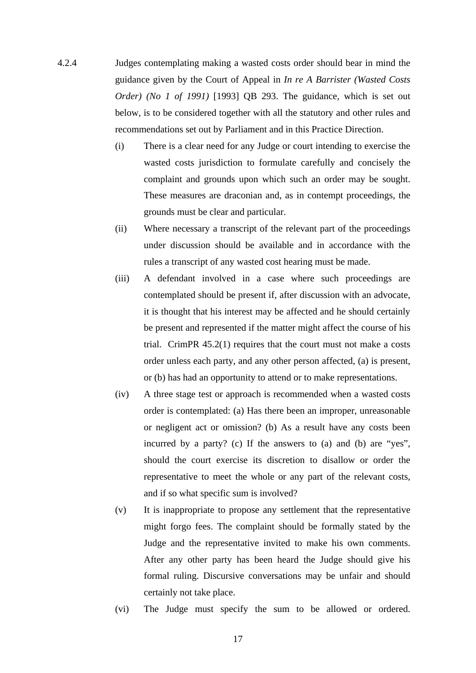- 4.2.4 Judges contemplating making a wasted costs order should bear in mind the guidance given by the Court of Appeal in *In re A Barrister (Wasted Costs Order) (No 1 of 1991)* [1993] QB 293. The guidance, which is set out below, is to be considered together with all the statutory and other rules and recommendations set out by Parliament and in this Practice Direction.
	- (i) There is a clear need for any Judge or court intending to exercise the wasted costs jurisdiction to formulate carefully and concisely the complaint and grounds upon which such an order may be sought. These measures are draconian and, as in contempt proceedings, the grounds must be clear and particular.
	- (ii) Where necessary a transcript of the relevant part of the proceedings under discussion should be available and in accordance with the rules a transcript of any wasted cost hearing must be made.
	- (iii) A defendant involved in a case where such proceedings are contemplated should be present if, after discussion with an advocate, it is thought that his interest may be affected and he should certainly be present and represented if the matter might affect the course of his trial. CrimPR 45.2(1) requires that the court must not make a costs order unless each party, and any other person affected, (a) is present, or (b) has had an opportunity to attend or to make representations.
	- and if so what specific sum is involved? (iv) A three stage test or approach is recommended when a wasted costs order is contemplated: (a) Has there been an improper, unreasonable or negligent act or omission? (b) As a result have any costs been incurred by a party? (c) If the answers to (a) and (b) are "yes", should the court exercise its discretion to disallow or order the representative to meet the whole or any part of the relevant costs,
	- $(v)$  It is inappropriate to propose any settlement that the representative might forgo fees. The complaint should be formally stated by the Judge and the representative invited to make his own comments. After any other party has been heard the Judge should give his formal ruling. Discursive conversations may be unfair and should certainly not take place.
	- (vi) The Judge must specify the sum to be allowed or ordered.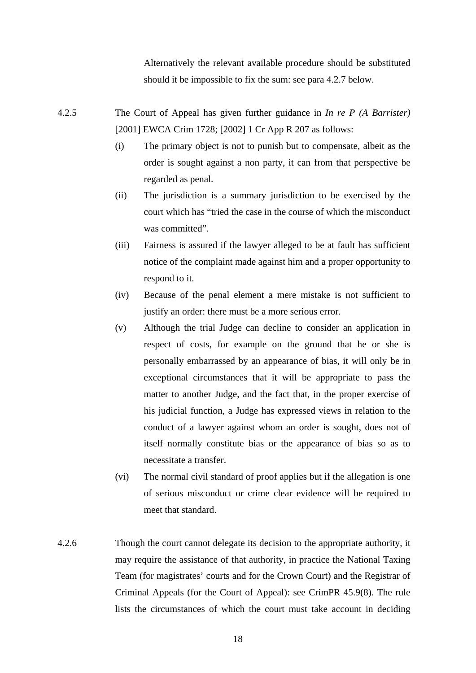Alternatively the relevant available procedure should be substituted should it be impossible to fix the sum: see para 4.2.7 below.

- 4.2.5 The Court of Appeal has given further guidance in *In re P (A Barrister)*  [2001] EWCA Crim 1728; [2002] 1 Cr App R 207 as follows:
	- (i) The primary object is not to punish but to compensate, albeit as the order is sought against a non party, it can from that perspective be regarded as penal.
	- (ii) The jurisdiction is a summary jurisdiction to be exercised by the court which has "tried the case in the course of which the misconduct was committed".
	- (iii) Fairness is assured if the lawyer alleged to be at fault has sufficient notice of the complaint made against him and a proper opportunity to respond to it.
	- (iv) Because of the penal element a mere mistake is not sufficient to justify an order: there must be a more serious error.
	- (v) Although the trial Judge can decline to consider an application in respect of costs, for example on the ground that he or she is personally embarrassed by an appearance of bias, it will only be in exceptional circumstances that it will be appropriate to pass the matter to another Judge, and the fact that, in the proper exercise of his judicial function, a Judge has expressed views in relation to the conduct of a lawyer against whom an order is sought, does not of itself normally constitute bias or the appearance of bias so as to necessitate a transfer.
	- (vi) The normal civil standard of proof applies but if the allegation is one of serious misconduct or crime clear evidence will be required to meet that standard.
- 4.2.6 Though the court cannot delegate its decision to the appropriate authority, it may require the assistance of that authority, in practice the National Taxing Team (for magistrates' courts and for the Crown Court) and the Registrar of Criminal Appeals (for the Court of Appeal): see CrimPR 45.9(8). The rule lists the circumstances of which the court must take account in deciding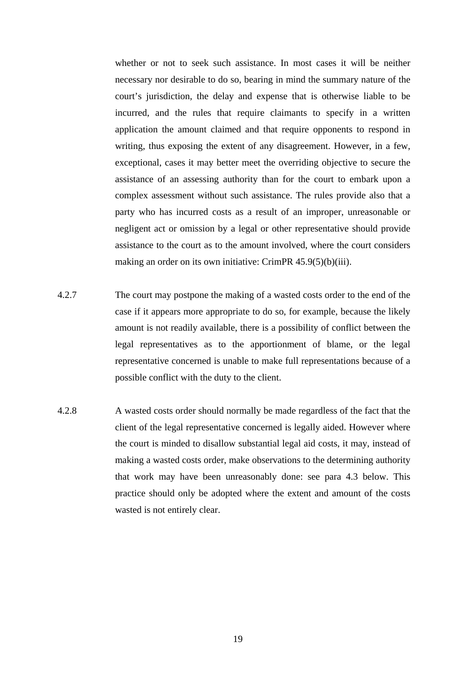whether or not to seek such assistance. In most cases it will be neither necessary nor desirable to do so, bearing in mind the summary nature of the court's jurisdiction, the delay and expense that is otherwise liable to be incurred, and the rules that require claimants to specify in a written application the amount claimed and that require opponents to respond in writing, thus exposing the extent of any disagreement. However, in a few, exceptional, cases it may better meet the overriding objective to secure the assistance of an assessing authority than for the court to embark upon a complex assessment without such assistance. The rules provide also that a party who has incurred costs as a result of an improper, unreasonable or negligent act or omission by a legal or other representative should provide assistance to the court as to the amount involved, where the court considers making an order on its own initiative: CrimPR 45.9(5)(b)(iii).

- 4.2.7 The court may postpone the making of a wasted costs order to the end of the case if it appears more appropriate to do so, for example, because the likely amount is not readily available, there is a possibility of conflict between the legal representatives as to the apportionment of blame, or the legal representative concerned is unable to make full representations because of a possible conflict with the duty to the client.
- 4.2.8 A wasted costs order should normally be made regardless of the fact that the client of the legal representative concerned is legally aided. However where the court is minded to disallow substantial legal aid costs, it may, instead of making a wasted costs order, make observations to the determining authority that work may have been unreasonably done: see para 4.3 below. This practice should only be adopted where the extent and amount of the costs wasted is not entirely clear.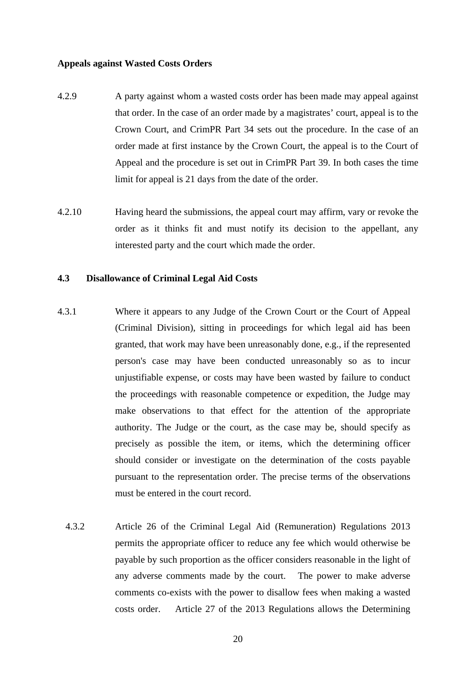#### **Appeals against Wasted Costs Orders**

- 4.2.9 A party against whom a wasted costs order has been made may appeal against that order. In the case of an order made by a magistrates' court, appeal is to the Crown Court, and CrimPR Part 34 sets out the procedure. In the case of an order made at first instance by the Crown Court, the appeal is to the Court of Appeal and the procedure is set out in CrimPR Part 39. In both cases the time limit for appeal is 21 days from the date of the order.
- 4.2.10 Having heard the submissions, the appeal court may affirm, vary or revoke the order as it thinks fit and must notify its decision to the appellant, any interested party and the court which made the order.

#### **4.3 Disallowance of Criminal Legal Aid Costs**

- 4.3.1 Where it appears to any Judge of the Crown Court or the Court of Appeal (Criminal Division), sitting in proceedings for which legal aid has been granted, that work may have been unreasonably done, e.g., if the represented person's case may have been conducted unreasonably so as to incur unjustifiable expense, or costs may have been wasted by failure to conduct the proceedings with reasonable competence or expedition, the Judge may make observations to that effect for the attention of the appropriate authority. The Judge or the court, as the case may be, should specify as precisely as possible the item, or items, which the determining officer should consider or investigate on the determination of the costs payable pursuant to the representation order. The precise terms of the observations must be entered in the court record.
	- costs order. 4.3.2 Article 26 of the Criminal Legal Aid (Remuneration) Regulations 2013 permits the appropriate officer to reduce any fee which would otherwise be payable by such proportion as the officer considers reasonable in the light of any adverse comments made by the court. The power to make adverse comments co-exists with the power to disallow fees when making a wasted Article 27 of the 2013 Regulations allows the Determining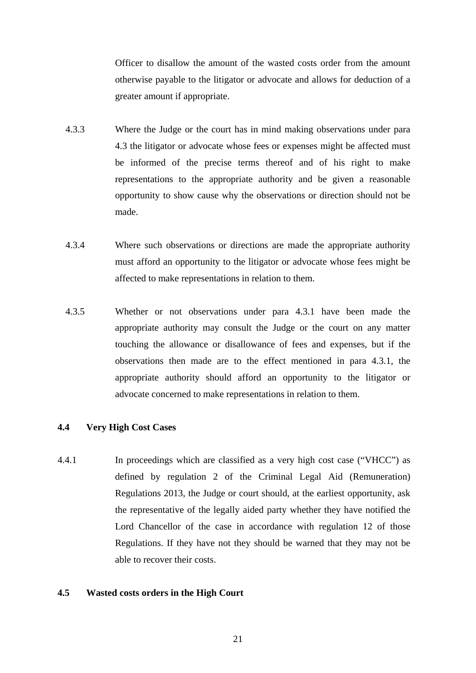Officer to disallow the amount of the wasted costs order from the amount otherwise payable to the litigator or advocate and allows for deduction of a greater amount if appropriate.

- 4.3.3 Where the Judge or the court has in mind making observations under para 4.3 the litigator or advocate whose fees or expenses might be affected must be informed of the precise terms thereof and of his right to make representations to the appropriate authority and be given a reasonable opportunity to show cause why the observations or direction should not be made.
- 4.3.4 Where such observations or directions are made the appropriate authority must afford an opportunity to the litigator or advocate whose fees might be affected to make representations in relation to them.
- 4.3.5 Whether or not observations under para 4.3.1 have been made the appropriate authority may consult the Judge or the court on any matter touching the allowance or disallowance of fees and expenses, but if the observations then made are to the effect mentioned in para 4.3.1, the appropriate authority should afford an opportunity to the litigator or advocate concerned to make representations in relation to them.

#### **4.4 Very High Cost Cases**

4.4.1 In proceedings which are classified as a very high cost case ("VHCC") as defined by regulation 2 of the Criminal Legal Aid (Remuneration) Regulations 2013, the Judge or court should, at the earliest opportunity, ask the representative of the legally aided party whether they have notified the Lord Chancellor of the case in accordance with regulation 12 of those Regulations. If they have not they should be warned that they may not be able to recover their costs.

#### **4.5 Wasted costs orders in the High Court**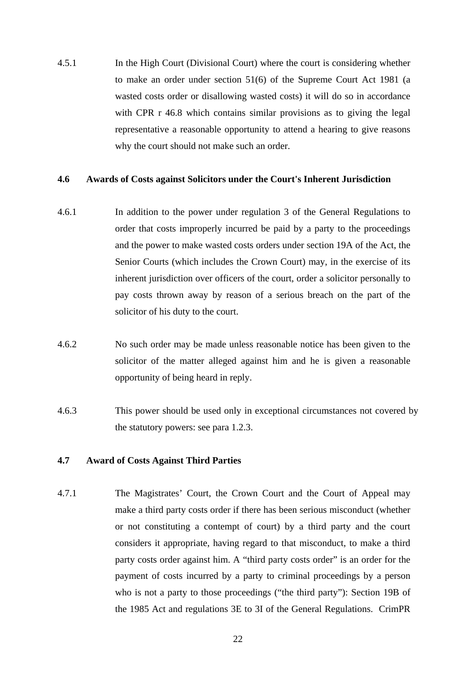4.5.1 In the High Court (Divisional Court) where the court is considering whether to make an order under section 51(6) of the Supreme Court Act 1981 (a wasted costs order or disallowing wasted costs) it will do so in accordance with CPR r 46.8 which contains similar provisions as to giving the legal representative a reasonable opportunity to attend a hearing to give reasons why the court should not make such an order.

#### **4.6 Awards of Costs against Solicitors under the Court's Inherent Jurisdiction**

- 4.6.1 In addition to the power under regulation 3 of the General Regulations to order that costs improperly incurred be paid by a party to the proceedings and the power to make wasted costs orders under section 19A of the Act, the Senior Courts (which includes the Crown Court) may, in the exercise of its inherent jurisdiction over officers of the court, order a solicitor personally to pay costs thrown away by reason of a serious breach on the part of the solicitor of his duty to the court.
- 4.6.2 No such order may be made unless reasonable notice has been given to the solicitor of the matter alleged against him and he is given a reasonable opportunity of being heard in reply.
- 4.6.3 This power should be used only in exceptional circumstances not covered by the statutory powers: see para 1.2.3.

#### **4.7 Award of Costs Against Third Parties**

4.7.1 The Magistrates' Court, the Crown Court and the Court of Appeal may make a third party costs order if there has been serious misconduct (whether or not constituting a contempt of court) by a third party and the court considers it appropriate, having regard to that misconduct, to make a third party costs order against him. A "third party costs order" is an order for the payment of costs incurred by a party to criminal proceedings by a person who is not a party to those proceedings ("the third party"): Section 19B of the 1985 Act and regulations 3E to 3I of the General Regulations. CrimPR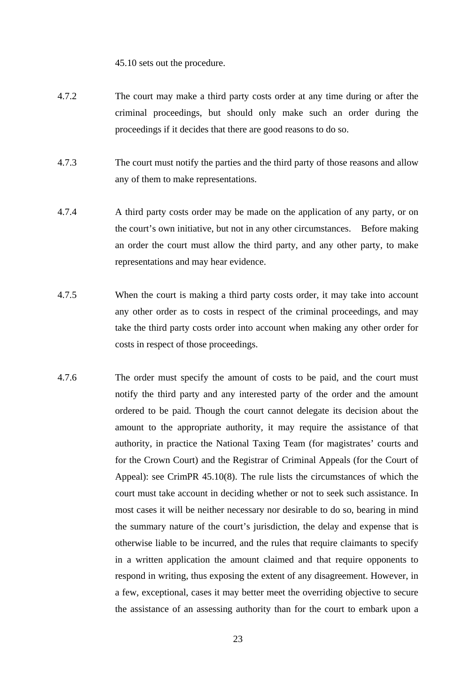45.10 sets out the procedure.

- 4.7.2 The court may make a third party costs order at any time during or after the criminal proceedings, but should only make such an order during the proceedings if it decides that there are good reasons to do so.
- 4.7.3 The court must notify the parties and the third party of those reasons and allow any of them to make representations.
- the court's own initiative, but not in any other circumstances. Before making 4.7.4 A third party costs order may be made on the application of any party, or on an order the court must allow the third party, and any other party, to make representations and may hear evidence.
- costs in respect of those proceedings. 4.7.5 When the court is making a third party costs order, it may take into account any other order as to costs in respect of the criminal proceedings, and may take the third party costs order into account when making any other order for
- 4.7.6 The order must specify the amount of costs to be paid, and the court must notify the third party and any interested party of the order and the amount ordered to be paid. Though the court cannot delegate its decision about the amount to the appropriate authority, it may require the assistance of that authority, in practice the National Taxing Team (for magistrates' courts and for the Crown Court) and the Registrar of Criminal Appeals (for the Court of Appeal): see CrimPR 45.10(8). The rule lists the circumstances of which the court must take account in deciding whether or not to seek such assistance. In most cases it will be neither necessary nor desirable to do so, bearing in mind the summary nature of the court's jurisdiction, the delay and expense that is otherwise liable to be incurred, and the rules that require claimants to specify in a written application the amount claimed and that require opponents to respond in writing, thus exposing the extent of any disagreement. However, in a few, exceptional, cases it may better meet the overriding objective to secure the assistance of an assessing authority than for the court to embark upon a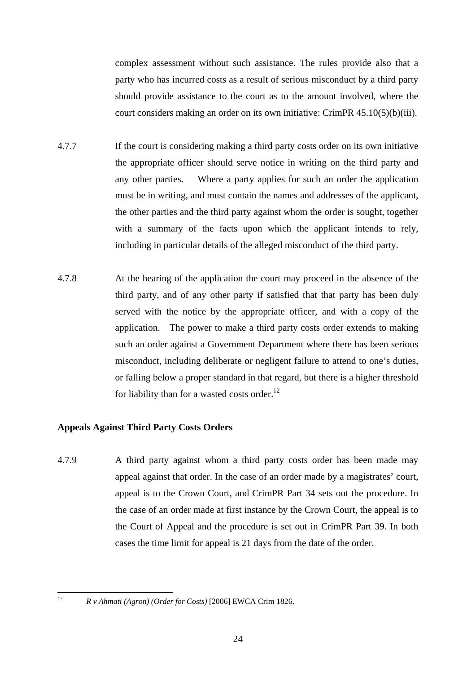complex assessment without such assistance. The rules provide also that a party who has incurred costs as a result of serious misconduct by a third party should provide assistance to the court as to the amount involved, where the court considers making an order on its own initiative: CrimPR 45.10(5)(b)(iii).

- 4.7.7 If the court is considering making a third party costs order on its own initiative the appropriate officer should serve notice in writing on the third party and any other parties. Where a party applies for such an order the application must be in writing, and must contain the names and addresses of the applicant, the other parties and the third party against whom the order is sought, together with a summary of the facts upon which the applicant intends to rely, including in particular details of the alleged misconduct of the third party.
- 4.7.8 At the hearing of the application the court may proceed in the absence of the third party, and of any other party if satisfied that that party has been duly served with the notice by the appropriate officer, and with a copy of the application. The power to make a third party costs order extends to making such an order against a Government Department where there has been serious misconduct, including deliberate or negligent failure to attend to one's duties, or falling below a proper standard in that regard, but there is a higher threshold for liability than for a wasted costs order. $^{12}$

## **Appeals Against Third Party Costs Orders**

4.7.9 A third party against whom a third party costs order has been made may appeal against that order. In the case of an order made by a magistrates' court, appeal is to the Crown Court, and CrimPR Part 34 sets out the procedure. In the case of an order made at first instance by the Crown Court, the appeal is to the Court of Appeal and the procedure is set out in CrimPR Part 39. In both cases the time limit for appeal is 21 days from the date of the order.

1 12

*R v Ahmati (Agron) (Order for Costs)* [2006] EWCA Crim 1826.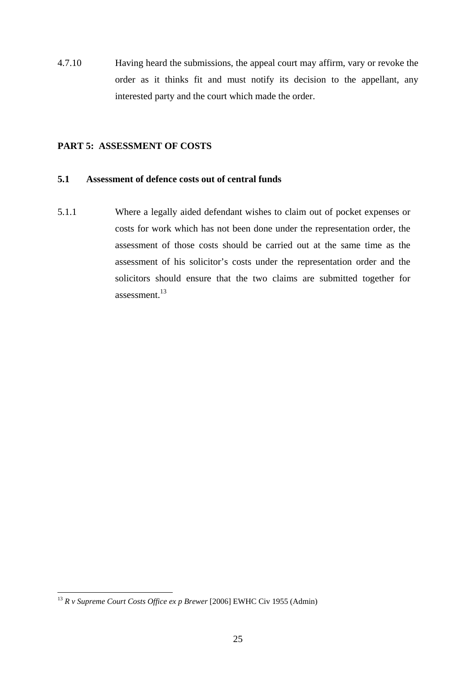4.7.10 Having heard the submissions, the appeal court may affirm, vary or revoke the order as it thinks fit and must notify its decision to the appellant, any interested party and the court which made the order.

## **PART 5: ASSESSMENT OF COSTS**

## **5.1 Assessment of defence costs out of central funds**

5.1.1 Where a legally aided defendant wishes to claim out of pocket expenses or costs for work which has not been done under the representation order, the assessment of those costs should be carried out at the same time as the assessment of his solicitor's costs under the representation order and the solicitors should ensure that the two claims are submitted together for assessment.<sup>13</sup>

<sup>1</sup> <sup>13</sup>*R v Supreme Court Costs Office ex p Brewer* [2006] EWHC Civ 1955 (Admin)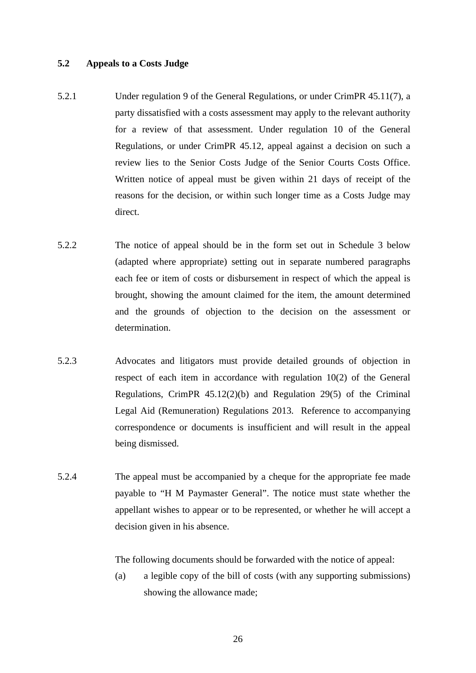#### **5.2 Appeals to a Costs Judge**

- 5.2.1 Under regulation 9 of the General Regulations, or under CrimPR 45.11(7), a party dissatisfied with a costs assessment may apply to the relevant authority for a review of that assessment. Under regulation 10 of the General Regulations, or under CrimPR 45.12, appeal against a decision on such a review lies to the Senior Costs Judge of the Senior Courts Costs Office. Written notice of appeal must be given within 21 days of receipt of the reasons for the decision, or within such longer time as a Costs Judge may direct.
- 5.2.2 The notice of appeal should be in the form set out in Schedule 3 below (adapted where appropriate) setting out in separate numbered paragraphs each fee or item of costs or disbursement in respect of which the appeal is brought, showing the amount claimed for the item, the amount determined and the grounds of objection to the decision on the assessment or determination.
- 5.2.3 Advocates and litigators must provide detailed grounds of objection in respect of each item in accordance with regulation 10(2) of the General Regulations, CrimPR 45.12(2)(b) and Regulation 29(5) of the Criminal Legal Aid (Remuneration) Regulations 2013. Reference to accompanying correspondence or documents is insufficient and will result in the appeal being dismissed.
- 5.2.4 The appeal must be accompanied by a cheque for the appropriate fee made payable to "H M Paymaster General". The notice must state whether the appellant wishes to appear or to be represented, or whether he will accept a decision given in his absence.

The following documents should be forwarded with the notice of appeal:

(a) a legible copy of the bill of costs (with any supporting submissions) showing the allowance made;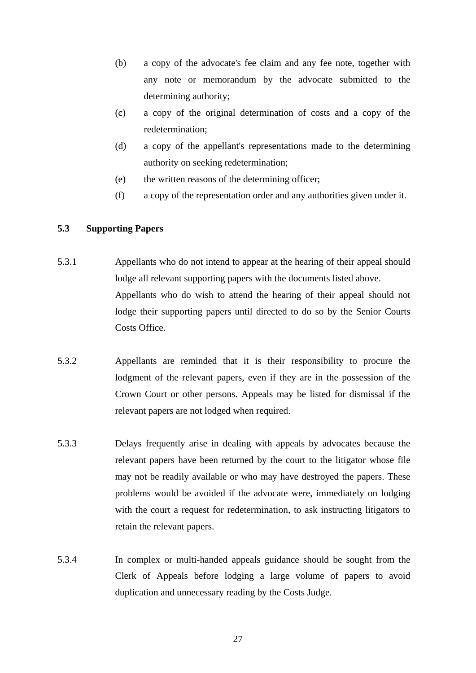- (b) a copy of the advocate's fee claim and any fee note, together with any note or memorandum by the advocate submitted to the determining authority;
- (c) a copy of the original determination of costs and a copy of the redetermination;
- (d) a copy of the appellant's representations made to the determining authority on seeking redetermination;
- (e) the written reasons of the determining officer;
- (f) a copy of the representation order and any authorities given under it.

### **5.3 Supporting Papers**

- 5.3.1 Appellants who do not intend to appear at the hearing of their appeal should lodge all relevant supporting papers with the documents listed above. Appellants who do wish to attend the hearing of their appeal should not lodge their supporting papers until directed to do so by the Senior Courts Costs Office.
- 5.3.2 Appellants are reminded that it is their responsibility to procure the lodgment of the relevant papers, even if they are in the possession of the Crown Court or other persons. Appeals may be listed for dismissal if the relevant papers are not lodged when required.
- 5.3.3 Delays frequently arise in dealing with appeals by advocates because the relevant papers have been returned by the court to the litigator whose file may not be readily available or who may have destroyed the papers. These problems would be avoided if the advocate were, immediately on lodging with the court a request for redetermination, to ask instructing litigators to retain the relevant papers.
- 5.3.4 In complex or multi-handed appeals guidance should be sought from the Clerk of Appeals before lodging a large volume of papers to avoid duplication and unnecessary reading by the Costs Judge.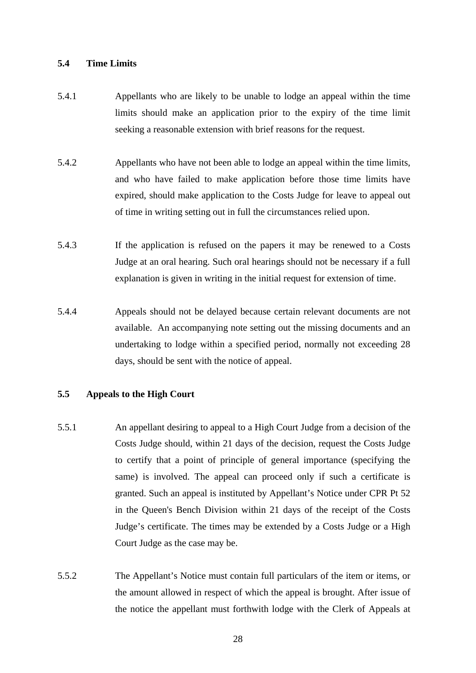#### **5.4 Time Limits**

- 5.4.1 Appellants who are likely to be unable to lodge an appeal within the time limits should make an application prior to the expiry of the time limit seeking a reasonable extension with brief reasons for the request.
- 5.4.2 Appellants who have not been able to lodge an appeal within the time limits, and who have failed to make application before those time limits have expired, should make application to the Costs Judge for leave to appeal out of time in writing setting out in full the circumstances relied upon.
- 5.4.3 If the application is refused on the papers it may be renewed to a Costs Judge at an oral hearing. Such oral hearings should not be necessary if a full explanation is given in writing in the initial request for extension of time.
- 5.4.4 Appeals should not be delayed because certain relevant documents are not available. An accompanying note setting out the missing documents and an undertaking to lodge within a specified period, normally not exceeding 28 days, should be sent with the notice of appeal.

## **5.5 Appeals to the High Court**

- 5.5.1 An appellant desiring to appeal to a High Court Judge from a decision of the Costs Judge should, within 21 days of the decision, request the Costs Judge to certify that a point of principle of general importance (specifying the same) is involved. The appeal can proceed only if such a certificate is granted. Such an appeal is instituted by Appellant's Notice under CPR Pt 52 in the Queen's Bench Division within 21 days of the receipt of the Costs Judge's certificate. The times may be extended by a Costs Judge or a High Court Judge as the case may be.
- 5.5.2 The Appellant's Notice must contain full particulars of the item or items, or the amount allowed in respect of which the appeal is brought. After issue of the notice the appellant must forthwith lodge with the Clerk of Appeals at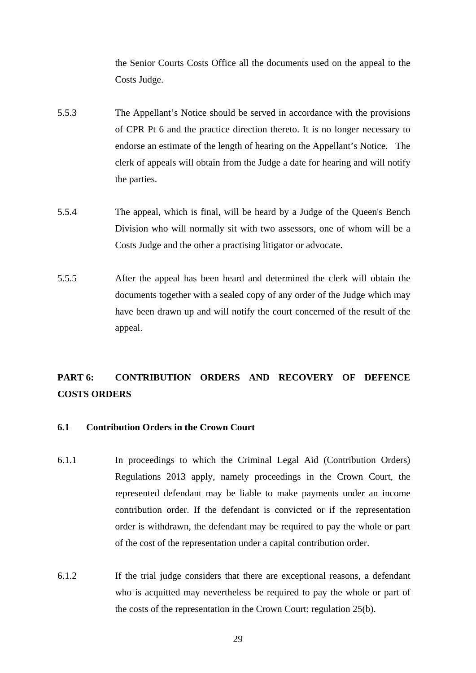the Senior Courts Costs Office all the documents used on the appeal to the Costs Judge.

- 5.5.3 The Appellant's Notice should be served in accordance with the provisions of CPR Pt 6 and the practice direction thereto. It is no longer necessary to endorse an estimate of the length of hearing on the Appellant's Notice. The clerk of appeals will obtain from the Judge a date for hearing and will notify the parties.
- 5.5.4 The appeal, which is final, will be heard by a Judge of the Queen's Bench Division who will normally sit with two assessors, one of whom will be a Costs Judge and the other a practising litigator or advocate.
- 5.5.5 After the appeal has been heard and determined the clerk will obtain the documents together with a sealed copy of any order of the Judge which may have been drawn up and will notify the court concerned of the result of the appeal.

# **PART 6: CONTRIBUTION ORDERS AND RECOVERY OF DEFENCE COSTS ORDERS**

## **6.1 Contribution Orders in the Crown Court**

- 6.1.1 In proceedings to which the Criminal Legal Aid (Contribution Orders) Regulations 2013 apply, namely proceedings in the Crown Court, the represented defendant may be liable to make payments under an income contribution order. If the defendant is convicted or if the representation order is withdrawn, the defendant may be required to pay the whole or part of the cost of the representation under a capital contribution order.
- 6.1.2 If the trial judge considers that there are exceptional reasons, a defendant who is acquitted may nevertheless be required to pay the whole or part of the costs of the representation in the Crown Court: regulation 25(b).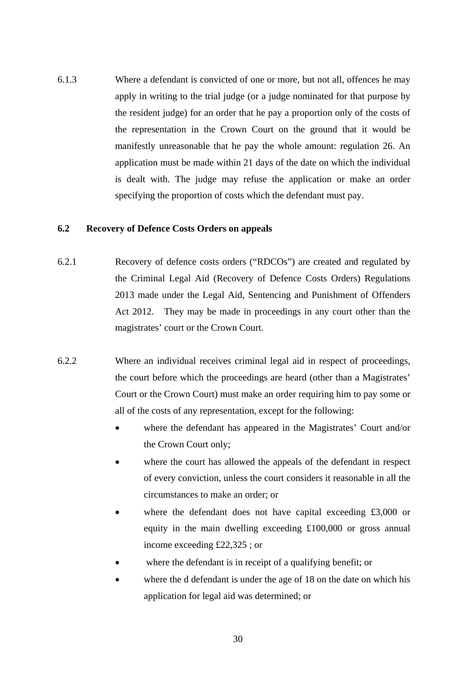6.1.3 Where a defendant is convicted of one or more, but not all, offences he may apply in writing to the trial judge (or a judge nominated for that purpose by the resident judge) for an order that he pay a proportion only of the costs of the representation in the Crown Court on the ground that it would be manifestly unreasonable that he pay the whole amount: regulation 26. An application must be made within 21 days of the date on which the individual is dealt with. The judge may refuse the application or make an order specifying the proportion of costs which the defendant must pay.

#### **6.2 Recovery of Defence Costs Orders on appeals**

- 6.2.1 Recovery of defence costs orders ("RDCOs") are created and regulated by the Criminal Legal Aid (Recovery of Defence Costs Orders) Regulations 2013 made under the Legal Aid, Sentencing and Punishment of Offenders Act 2012. They may be made in proceedings in any court other than the magistrates' court or the Crown Court.
- 6.2.2 Where an individual receives criminal legal aid in respect of proceedings, the court before which the proceedings are heard (other than a Magistrates' Court or the Crown Court) must make an order requiring him to pay some or all of the costs of any representation, except for the following:
	- where the defendant has appeared in the Magistrates' Court and/or the Crown Court only;
	- where the court has allowed the appeals of the defendant in respect of every conviction, unless the court considers it reasonable in all the circumstances to make an order; or
	- where the defendant does not have capital exceeding £3,000 or equity in the main dwelling exceeding £100,000 or gross annual income exceeding £22,325 ; or
	- where the defendant is in receipt of a qualifying benefit; or
	- where the d defendant is under the age of 18 on the date on which his application for legal aid was determined; or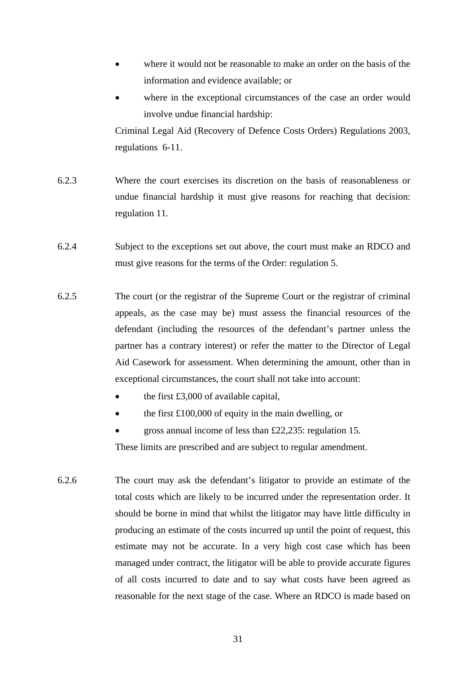- where it would not be reasonable to make an order on the basis of the information and evidence available; or
- where in the exceptional circumstances of the case an order would involve undue financial hardship:

Criminal Legal Aid (Recovery of Defence Costs Orders) Regulations 2003, regulations 6-11.

- 6.2.3 Where the court exercises its discretion on the basis of reasonableness or undue financial hardship it must give reasons for reaching that decision: regulation 11.
- 6.2.4 Subject to the exceptions set out above, the court must make an RDCO and must give reasons for the terms of the Order: regulation 5.
- 6.2.5 The court (or the registrar of the Supreme Court or the registrar of criminal appeals, as the case may be) must assess the financial resources of the defendant (including the resources of the defendant's partner unless the partner has a contrary interest) or refer the matter to the Director of Legal Aid Casework for assessment. When determining the amount, other than in exceptional circumstances, the court shall not take into account:
	- the first £3,000 of available capital,
	- the first £100,000 of equity in the main dwelling, or
	- gross annual income of less than £22,235: regulation 15.

These limits are prescribed and are subject to regular amendment.

6.2.6 The court may ask the defendant's litigator to provide an estimate of the total costs which are likely to be incurred under the representation order. It should be borne in mind that whilst the litigator may have little difficulty in producing an estimate of the costs incurred up until the point of request, this estimate may not be accurate. In a very high cost case which has been managed under contract, the litigator will be able to provide accurate figures of all costs incurred to date and to say what costs have been agreed as reasonable for the next stage of the case. Where an RDCO is made based on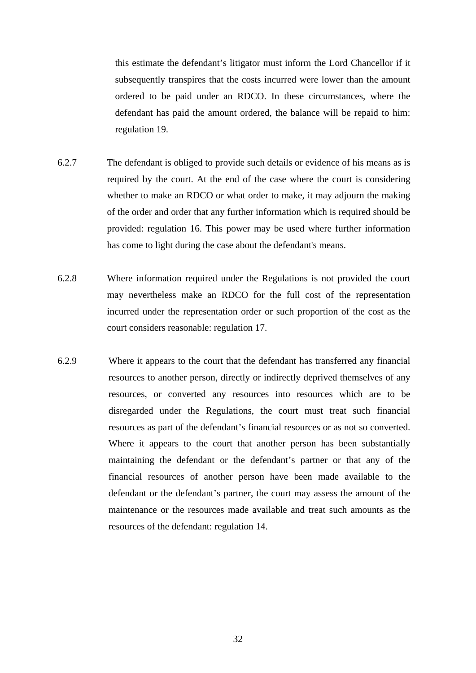this estimate the defendant's litigator must inform the Lord Chancellor if it subsequently transpires that the costs incurred were lower than the amount ordered to be paid under an RDCO. In these circumstances, where the defendant has paid the amount ordered, the balance will be repaid to him: regulation 19.

- 6.2.7 The defendant is obliged to provide such details or evidence of his means as is required by the court. At the end of the case where the court is considering whether to make an RDCO or what order to make, it may adjourn the making of the order and order that any further information which is required should be provided: regulation 16. This power may be used where further information has come to light during the case about the defendant's means.
- 6.2.8 Where information required under the Regulations is not provided the court may nevertheless make an RDCO for the full cost of the representation incurred under the representation order or such proportion of the cost as the court considers reasonable: regulation 17.
- 6.2.9 Where it appears to the court that the defendant has transferred any financial resources to another person, directly or indirectly deprived themselves of any resources, or converted any resources into resources which are to be disregarded under the Regulations, the court must treat such financial resources as part of the defendant's financial resources or as not so converted. Where it appears to the court that another person has been substantially maintaining the defendant or the defendant's partner or that any of the financial resources of another person have been made available to the defendant or the defendant's partner, the court may assess the amount of the maintenance or the resources made available and treat such amounts as the resources of the defendant: regulation 14.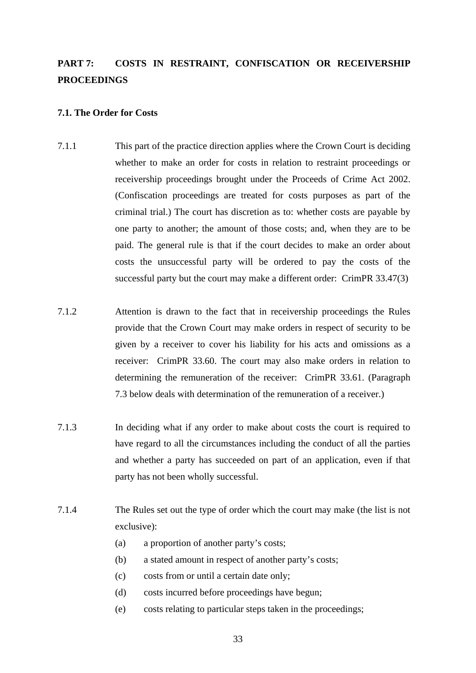# **PART 7: COSTS IN RESTRAINT, CONFISCATION OR RECEIVERSHIP PROCEEDINGS**

#### **7.1. The Order for Costs**

- 7.1.1 This part of the practice direction applies where the Crown Court is deciding whether to make an order for costs in relation to restraint proceedings or receivership proceedings brought under the Proceeds of Crime Act 2002. (Confiscation proceedings are treated for costs purposes as part of the criminal trial.) The court has discretion as to: whether costs are payable by one party to another; the amount of those costs; and, when they are to be paid. The general rule is that if the court decides to make an order about costs the unsuccessful party will be ordered to pay the costs of the successful party but the court may make a different order: CrimPR 33.47(3)
- 7.1.2 Attention is drawn to the fact that in receivership proceedings the Rules provide that the Crown Court may make orders in respect of security to be given by a receiver to cover his liability for his acts and omissions as a receiver: CrimPR 33.60. The court may also make orders in relation to determining the remuneration of the receiver: CrimPR 33.61. (Paragraph 7.3 below deals with determination of the remuneration of a receiver.)
- 7.1.3 In deciding what if any order to make about costs the court is required to have regard to all the circumstances including the conduct of all the parties and whether a party has succeeded on part of an application, even if that party has not been wholly successful.
- 7.1.4 The Rules set out the type of order which the court may make (the list is not exclusive):
	- (a) a proportion of another party's costs;
	- (b) a stated amount in respect of another party's costs;
	- (c) costs from or until a certain date only;
	- (d) costs incurred before proceedings have begun;
	- (e) costs relating to particular steps taken in the proceedings;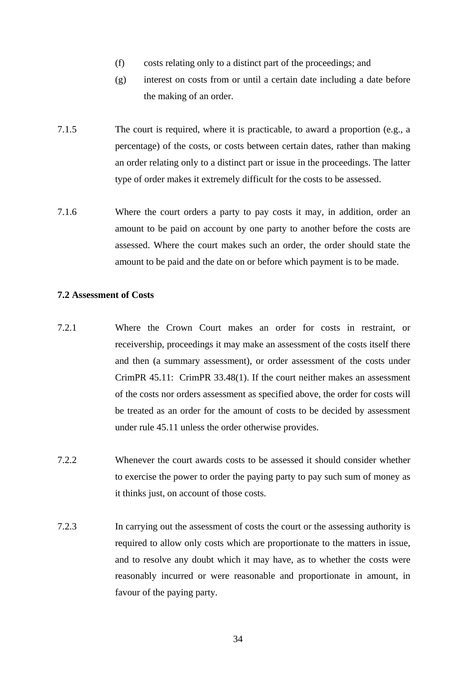- (f) costs relating only to a distinct part of the proceedings; and
- (g) interest on costs from or until a certain date including a date before the making of an order.
- 7.1.5 The court is required, where it is practicable, to award a proportion (e.g., a percentage) of the costs, or costs between certain dates, rather than making an order relating only to a distinct part or issue in the proceedings. The latter type of order makes it extremely difficult for the costs to be assessed.
- 7.1.6 Where the court orders a party to pay costs it may, in addition, order an amount to be paid on account by one party to another before the costs are assessed. Where the court makes such an order, the order should state the amount to be paid and the date on or before which payment is to be made.

#### **7.2 Assessment of Costs**

- 7.2.1 Where the Crown Court makes an order for costs in restraint, or receivership, proceedings it may make an assessment of the costs itself there and then (a summary assessment), or order assessment of the costs under CrimPR 45.11: CrimPR 33.48(1). If the court neither makes an assessment of the costs nor orders assessment as specified above, the order for costs will be treated as an order for the amount of costs to be decided by assessment under rule 45.11 unless the order otherwise provides.
- 7.2.2 Whenever the court awards costs to be assessed it should consider whether to exercise the power to order the paying party to pay such sum of money as it thinks just, on account of those costs.
- 7.2.3 In carrying out the assessment of costs the court or the assessing authority is required to allow only costs which are proportionate to the matters in issue, and to resolve any doubt which it may have, as to whether the costs were reasonably incurred or were reasonable and proportionate in amount, in favour of the paying party.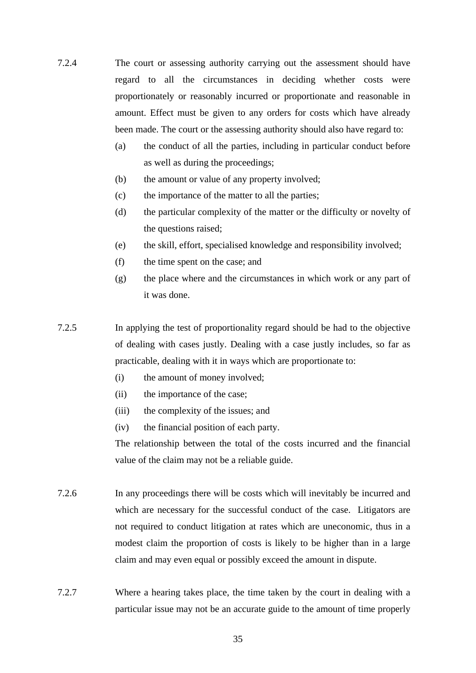- 7.2.4 The court or assessing authority carrying out the assessment should have regard to all the circumstances in deciding whether costs were proportionately or reasonably incurred or proportionate and reasonable in amount. Effect must be given to any orders for costs which have already been made. The court or the assessing authority should also have regard to:
	- (a) the conduct of all the parties, including in particular conduct before as well as during the proceedings;
	- (b) the amount or value of any property involved;
	- (c) the importance of the matter to all the parties;
	- (d) the particular complexity of the matter or the difficulty or novelty of the questions raised;
	- (e) the skill, effort, specialised knowledge and responsibility involved;
	- (f) the time spent on the case; and
	- (g) the place where and the circumstances in which work or any part of it was done.
- 7.2.5 In applying the test of proportionality regard should be had to the objective of dealing with cases justly. Dealing with a case justly includes, so far as practicable, dealing with it in ways which are proportionate to:
	- (i) the amount of money involved;
	- (ii) the importance of the case;
	- (iii) the complexity of the issues; and
	- (iv) the financial position of each party.

The relationship between the total of the costs incurred and the financial value of the claim may not be a reliable guide.

- 7.2.6 In any proceedings there will be costs which will inevitably be incurred and which are necessary for the successful conduct of the case. Litigators are not required to conduct litigation at rates which are uneconomic, thus in a modest claim the proportion of costs is likely to be higher than in a large claim and may even equal or possibly exceed the amount in dispute.
- 7.2.7 Where a hearing takes place, the time taken by the court in dealing with a particular issue may not be an accurate guide to the amount of time properly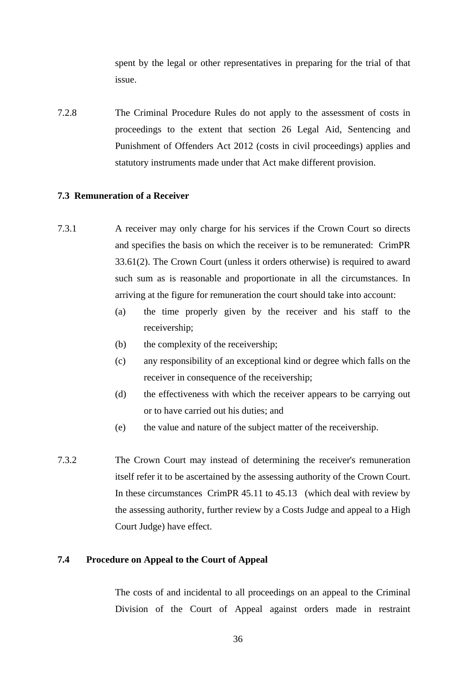spent by the legal or other representatives in preparing for the trial of that issue.

7.2.8 The Criminal Procedure Rules do not apply to the assessment of costs in proceedings to the extent that section 26 Legal Aid, Sentencing and Punishment of Offenders Act 2012 (costs in civil proceedings) applies and statutory instruments made under that Act make different provision.

#### **7.3 Remuneration of a Receiver**

- 7.3.1 A receiver may only charge for his services if the Crown Court so directs and specifies the basis on which the receiver is to be remunerated: CrimPR 33.61(2). The Crown Court (unless it orders otherwise) is required to award such sum as is reasonable and proportionate in all the circumstances. In arriving at the figure for remuneration the court should take into account:
	- (a) the time properly given by the receiver and his staff to the receivership;
	- (b) the complexity of the receivership;
	- (c) any responsibility of an exceptional kind or degree which falls on the receiver in consequence of the receivership;
	- (d) the effectiveness with which the receiver appears to be carrying out or to have carried out his duties; and
	- (e) the value and nature of the subject matter of the receivership.
- 7.3.2 The Crown Court may instead of determining the receiver's remuneration itself refer it to be ascertained by the assessing authority of the Crown Court. In these circumstances CrimPR 45.11 to 45.13 (which deal with review by the assessing authority, further review by a Costs Judge and appeal to a High Court Judge) have effect.

#### **7.4 Procedure on Appeal to the Court of Appeal**

The costs of and incidental to all proceedings on an appeal to the Criminal Division of the Court of Appeal against orders made in restraint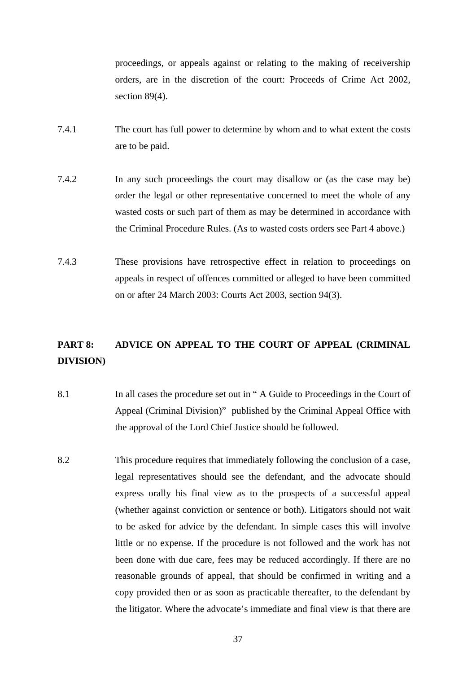proceedings, or appeals against or relating to the making of receivership orders, are in the discretion of the court: Proceeds of Crime Act 2002, section 89(4).

- 7.4.1 The court has full power to determine by whom and to what extent the costs are to be paid.
- 7.4.2 In any such proceedings the court may disallow or (as the case may be) order the legal or other representative concerned to meet the whole of any wasted costs or such part of them as may be determined in accordance with the Criminal Procedure Rules. (As to wasted costs orders see Part 4 above.)
- 7.4.3 These provisions have retrospective effect in relation to proceedings on appeals in respect of offences committed or alleged to have been committed on or after 24 March 2003: Courts Act 2003, section 94(3).

# **PART 8: ADVICE ON APPEAL TO THE COURT OF APPEAL (CRIMINAL DIVISION)**

- 8.1 In all cases the procedure set out in " A Guide to Proceedings in the Court of Appeal (Criminal Division)" published by the Criminal Appeal Office with the approval of the Lord Chief Justice should be followed.
- 8.2 This procedure requires that immediately following the conclusion of a case, legal representatives should see the defendant, and the advocate should express orally his final view as to the prospects of a successful appeal (whether against conviction or sentence or both). Litigators should not wait to be asked for advice by the defendant. In simple cases this will involve little or no expense. If the procedure is not followed and the work has not been done with due care, fees may be reduced accordingly. If there are no reasonable grounds of appeal, that should be confirmed in writing and a copy provided then or as soon as practicable thereafter, to the defendant by the litigator. Where the advocate's immediate and final view is that there are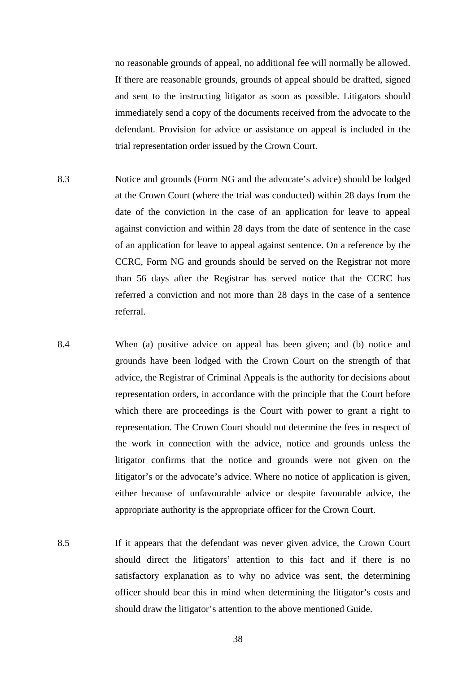no reasonable grounds of appeal, no additional fee will normally be allowed. If there are reasonable grounds, grounds of appeal should be drafted, signed and sent to the instructing litigator as soon as possible. Litigators should immediately send a copy of the documents received from the advocate to the defendant. Provision for advice or assistance on appeal is included in the trial representation order issued by the Crown Court.

- 8.3 Notice and grounds (Form NG and the advocate's advice) should be lodged at the Crown Court (where the trial was conducted) within 28 days from the date of the conviction in the case of an application for leave to appeal against conviction and within 28 days from the date of sentence in the case of an application for leave to appeal against sentence. On a reference by the CCRC, Form NG and grounds should be served on the Registrar not more than 56 days after the Registrar has served notice that the CCRC has referred a conviction and not more than 28 days in the case of a sentence referral.
- 8.4 When (a) positive advice on appeal has been given; and (b) notice and grounds have been lodged with the Crown Court on the strength of that advice, the Registrar of Criminal Appeals is the authority for decisions about representation orders, in accordance with the principle that the Court before which there are proceedings is the Court with power to grant a right to representation. The Crown Court should not determine the fees in respect of the work in connection with the advice, notice and grounds unless the litigator confirms that the notice and grounds were not given on the litigator's or the advocate's advice. Where no notice of application is given, either because of unfavourable advice or despite favourable advice, the appropriate authority is the appropriate officer for the Crown Court.
- 8.5 If it appears that the defendant was never given advice, the Crown Court should direct the litigators' attention to this fact and if there is no satisfactory explanation as to why no advice was sent, the determining officer should bear this in mind when determining the litigator's costs and should draw the litigator's attention to the above mentioned Guide.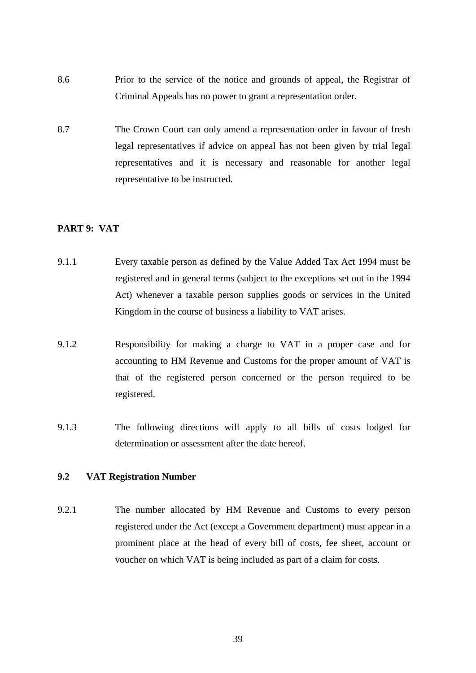- 8.6 Prior to the service of the notice and grounds of appeal, the Registrar of Criminal Appeals has no power to grant a representation order.
- 8.7 The Crown Court can only amend a representation order in favour of fresh legal representatives if advice on appeal has not been given by trial legal representatives and it is necessary and reasonable for another legal representative to be instructed.

## **PART 9: VAT**

- 9.1.1 Every taxable person as defined by the Value Added Tax Act 1994 must be registered and in general terms (subject to the exceptions set out in the 1994 Act) whenever a taxable person supplies goods or services in the United Kingdom in the course of business a liability to VAT arises.
- 9.1.2 Responsibility for making a charge to VAT in a proper case and for accounting to HM Revenue and Customs for the proper amount of VAT is that of the registered person concerned or the person required to be registered.
- 9.1.3 The following directions will apply to all bills of costs lodged for determination or assessment after the date hereof.

## **9.2 VAT Registration Number**

9.2.1 The number allocated by HM Revenue and Customs to every person registered under the Act (except a Government department) must appear in a prominent place at the head of every bill of costs, fee sheet, account or voucher on which VAT is being included as part of a claim for costs.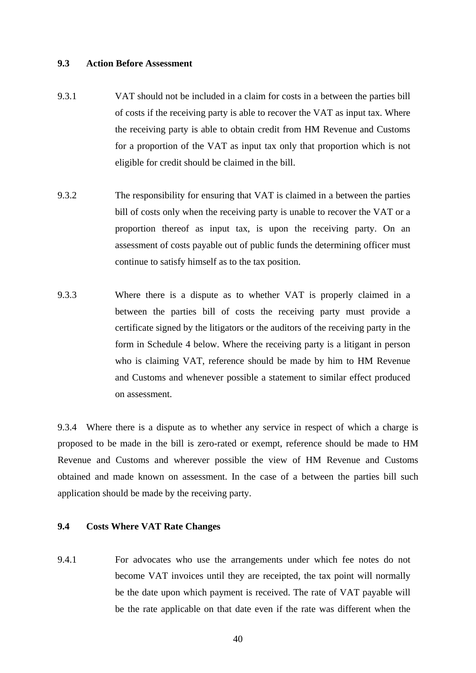#### **9.3 Action Before Assessment**

- 9.3.1 VAT should not be included in a claim for costs in a between the parties bill of costs if the receiving party is able to recover the VAT as input tax. Where the receiving party is able to obtain credit from HM Revenue and Customs for a proportion of the VAT as input tax only that proportion which is not eligible for credit should be claimed in the bill.
- 9.3.2 The responsibility for ensuring that VAT is claimed in a between the parties bill of costs only when the receiving party is unable to recover the VAT or a proportion thereof as input tax, is upon the receiving party. On an assessment of costs payable out of public funds the determining officer must continue to satisfy himself as to the tax position.
- 9.3.3 Where there is a dispute as to whether VAT is properly claimed in a between the parties bill of costs the receiving party must provide a certificate signed by the litigators or the auditors of the receiving party in the form in Schedule 4 below. Where the receiving party is a litigant in person who is claiming VAT, reference should be made by him to HM Revenue and Customs and whenever possible a statement to similar effect produced on assessment.

9.3.4 Where there is a dispute as to whether any service in respect of which a charge is proposed to be made in the bill is zero-rated or exempt, reference should be made to HM Revenue and Customs and wherever possible the view of HM Revenue and Customs obtained and made known on assessment. In the case of a between the parties bill such application should be made by the receiving party.

#### **9.4 Costs Where VAT Rate Changes**

9.4.1 For advocates who use the arrangements under which fee notes do not become VAT invoices until they are receipted, the tax point will normally be the date upon which payment is received. The rate of VAT payable will be the rate applicable on that date even if the rate was different when the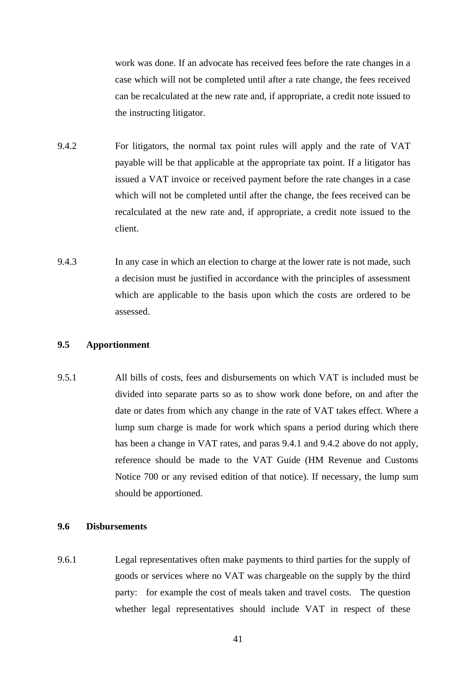work was done. If an advocate has received fees before the rate changes in a case which will not be completed until after a rate change, the fees received can be recalculated at the new rate and, if appropriate, a credit note issued to the instructing litigator.

- 9.4.2 For litigators, the normal tax point rules will apply and the rate of VAT payable will be that applicable at the appropriate tax point. If a litigator has issued a VAT invoice or received payment before the rate changes in a case which will not be completed until after the change, the fees received can be recalculated at the new rate and, if appropriate, a credit note issued to the client.
- 9.4.3 In any case in which an election to charge at the lower rate is not made, such a decision must be justified in accordance with the principles of assessment which are applicable to the basis upon which the costs are ordered to be assessed.

## **9.5 Apportionment**

9.5.1 All bills of costs, fees and disbursements on which VAT is included must be divided into separate parts so as to show work done before, on and after the date or dates from which any change in the rate of VAT takes effect. Where a lump sum charge is made for work which spans a period during which there has been a change in VAT rates, and paras 9.4.1 and 9.4.2 above do not apply, reference should be made to the VAT Guide (HM Revenue and Customs Notice 700 or any revised edition of that notice). If necessary, the lump sum should be apportioned.

## **9.6 Disbursements**

9.6.1 Legal representatives often make payments to third parties for the supply of goods or services where no VAT was chargeable on the supply by the third party: for example the cost of meals taken and travel costs. The question whether legal representatives should include VAT in respect of these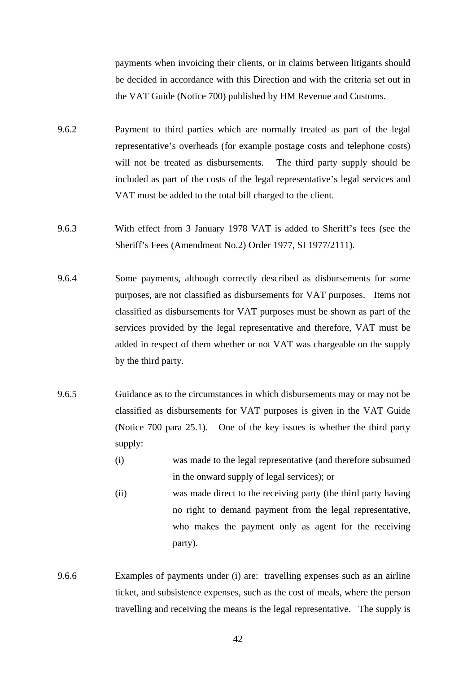payments when invoicing their clients, or in claims between litigants should be decided in accordance with this Direction and with the criteria set out in the VAT Guide (Notice 700) published by HM Revenue and Customs.

- 9.6.2 Payment to third parties which are normally treated as part of the legal representative's overheads (for example postage costs and telephone costs) will not be treated as disbursements. The third party supply should be included as part of the costs of the legal representative's legal services and VAT must be added to the total bill charged to the client.
- 9.6.3 With effect from 3 January 1978 VAT is added to Sheriff's fees (see the Sheriff's Fees (Amendment No.2) Order 1977, SI 1977/2111).
- 9.6.4 Some payments, although correctly described as disbursements for some purposes, are not classified as disbursements for VAT purposes. Items not classified as disbursements for VAT purposes must be shown as part of the services provided by the legal representative and therefore, VAT must be added in respect of them whether or not VAT was chargeable on the supply by the third party.
- 9.6.5 Guidance as to the circumstances in which disbursements may or may not be classified as disbursements for VAT purposes is given in the VAT Guide (Notice 700 para 25.1). One of the key issues is whether the third party supply:
	- (i) was made to the legal representative (and therefore subsumed in the onward supply of legal services); or
	- (ii) was made direct to the receiving party (the third party having no right to demand payment from the legal representative, who makes the payment only as agent for the receiving party).
- 9.6.6 Examples of payments under (i) are: travelling expenses such as an airline ticket, and subsistence expenses, such as the cost of meals, where the person travelling and receiving the means is the legal representative. The supply is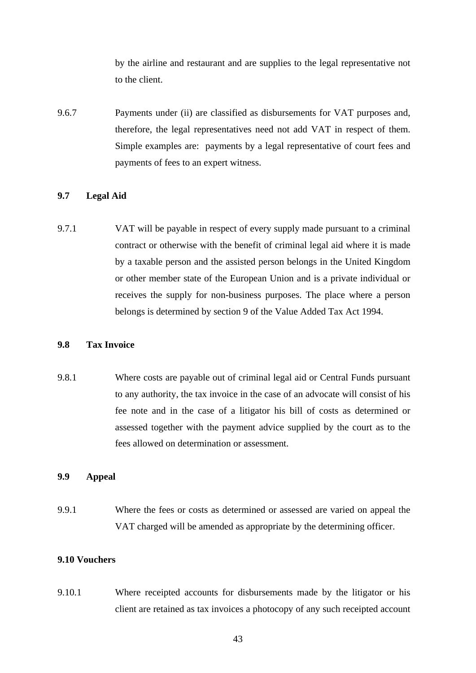by the airline and restaurant and are supplies to the legal representative not to the client.

9.6.7 Payments under (ii) are classified as disbursements for VAT purposes and, therefore, the legal representatives need not add VAT in respect of them. Simple examples are: payments by a legal representative of court fees and payments of fees to an expert witness.

#### **9.7 Legal Aid**

9.7.1 VAT will be payable in respect of every supply made pursuant to a criminal contract or otherwise with the benefit of criminal legal aid where it is made by a taxable person and the assisted person belongs in the United Kingdom or other member state of the European Union and is a private individual or receives the supply for non-business purposes. The place where a person belongs is determined by section 9 of the Value Added Tax Act 1994.

#### **9.8 Tax Invoice**

9.8.1 Where costs are payable out of criminal legal aid or Central Funds pursuant to any authority, the tax invoice in the case of an advocate will consist of his fee note and in the case of a litigator his bill of costs as determined or assessed together with the payment advice supplied by the court as to the fees allowed on determination or assessment.

### **9.9 Appeal**

9.9.1 Where the fees or costs as determined or assessed are varied on appeal the VAT charged will be amended as appropriate by the determining officer.

#### **9.10 Vouchers**

9.10.1 Where receipted accounts for disbursements made by the litigator or his client are retained as tax invoices a photocopy of any such receipted account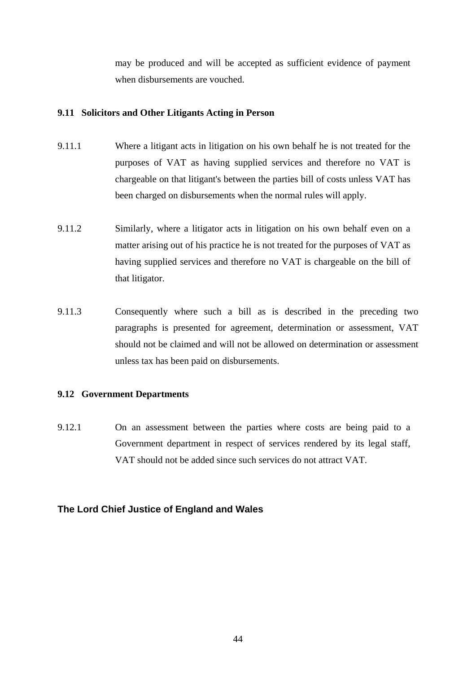may be produced and will be accepted as sufficient evidence of payment when disbursements are vouched.

# **9.11 Solicitors and Other Litigants Acting in Person**

- 9.11.1 Where a litigant acts in litigation on his own behalf he is not treated for the purposes of VAT as having supplied services and therefore no VAT is chargeable on that litigant's between the parties bill of costs unless VAT has been charged on disbursements when the normal rules will apply.
- 9.11.2 Similarly, where a litigator acts in litigation on his own behalf even on a matter arising out of his practice he is not treated for the purposes of VAT as having supplied services and therefore no VAT is chargeable on the bill of that litigator.
- 9.11.3 Consequently where such a bill as is described in the preceding two paragraphs is presented for agreement, determination or assessment, VAT should not be claimed and will not be allowed on determination or assessment unless tax has been paid on disbursements.

# **9.12 Government Departments**

9.12.1 On an assessment between the parties where costs are being paid to a Government department in respect of services rendered by its legal staff, VAT should not be added since such services do not attract VAT.

# **The Lord Chief Justice of England and Wales**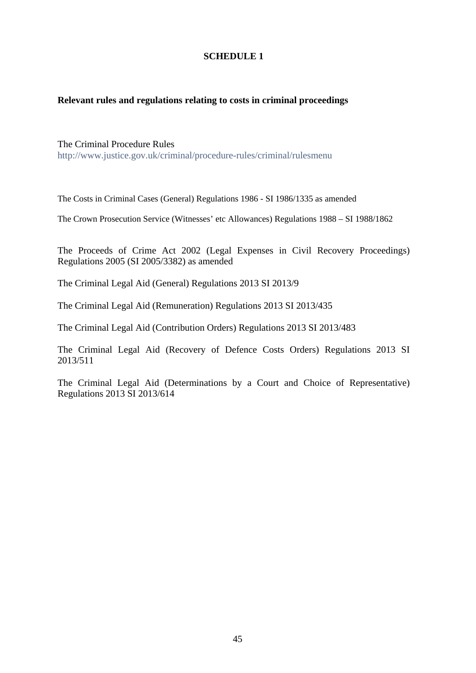### **Relevant rules and regulations relating to costs in criminal proceedings**

The Criminal Procedure Rules http://www.justice.gov.uk/criminal/procedure-rules/criminal/rulesmenu

The Costs in Criminal Cases (General) Regulations 1986 - SI 1986/1335 as amended

The Crown Prosecution Service (Witnesses' etc Allowances) Regulations 1988 – SI 1988/1862

The Proceeds of Crime Act 2002 (Legal Expenses in Civil Recovery Proceedings) Regulations 2005 (SI 2005/3382) as amended

The Criminal Legal Aid (General) Regulations 2013 SI 2013/9

The Criminal Legal Aid (Remuneration) Regulations 2013 SI 2013/435

The Criminal Legal Aid (Contribution Orders) Regulations 2013 SI 2013/483

The Criminal Legal Aid (Recovery of Defence Costs Orders) Regulations 2013 SI 2013/511

The Criminal Legal Aid (Determinations by a Court and Choice of Representative) Regulations 2013 SI 2013/614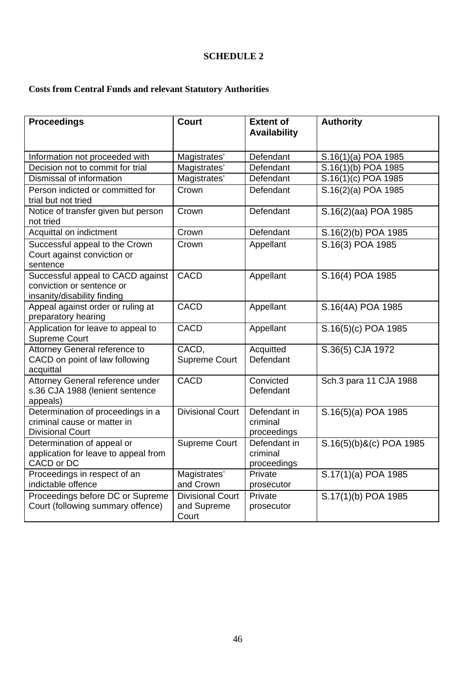# **Costs from Central Funds and relevant Statutory Authorities**

| <b>Proceedings</b>                                                                            | <b>Court</b>                                    | <b>Extent of</b><br><b>Availability</b> | <b>Authority</b>        |
|-----------------------------------------------------------------------------------------------|-------------------------------------------------|-----------------------------------------|-------------------------|
|                                                                                               |                                                 |                                         |                         |
| Information not proceeded with                                                                | Magistrates'                                    | Defendant                               | S.16(1)(a) POA 1985     |
| Decision not to commit for trial                                                              | Magistrates'                                    | Defendant                               | S.16(1)(b) POA 1985     |
| Dismissal of information                                                                      | Magistrates'                                    | Defendant                               | S.16(1)(c) POA 1985     |
| Person indicted or committed for<br>trial but not tried                                       | Crown                                           | Defendant                               | S.16(2)(a) POA 1985     |
| Notice of transfer given but person<br>not tried                                              | Crown                                           | Defendant                               | S.16(2)(aa) POA 1985    |
| Acquittal on indictment                                                                       | Crown                                           | Defendant                               | S.16(2)(b) POA 1985     |
| Successful appeal to the Crown<br>Court against conviction or<br>sentence                     | Crown                                           | Appellant                               | S.16(3) POA 1985        |
| Successful appeal to CACD against<br>conviction or sentence or<br>insanity/disability finding | <b>CACD</b>                                     | Appellant                               | S.16(4) POA 1985        |
| Appeal against order or ruling at<br>preparatory hearing                                      | <b>CACD</b>                                     | Appellant                               | S.16(4A) POA 1985       |
| Application for leave to appeal to<br><b>Supreme Court</b>                                    | <b>CACD</b>                                     | Appellant                               | S.16(5)(c) POA 1985     |
| Attorney General reference to<br>CACD on point of law following<br>acquittal                  | CACD,<br><b>Supreme Court</b>                   | Acquitted<br>Defendant                  | S.36(5) CJA 1972        |
| Attorney General reference under<br>s.36 CJA 1988 (lenient sentence<br>appeals)               | <b>CACD</b>                                     | Convicted<br>Defendant                  | Sch.3 para 11 CJA 1988  |
| Determination of proceedings in a<br>criminal cause or matter in<br><b>Divisional Court</b>   | <b>Divisional Court</b>                         | Defendant in<br>criminal<br>proceedings | S.16(5)(a) POA 1985     |
| Determination of appeal or<br>application for leave to appeal from<br>CACD or DC              | Supreme Court                                   | Defendant in<br>criminal<br>proceedings | S.16(5)(b)&(c) POA 1985 |
| Proceedings in respect of an<br>indictable offence                                            | Magistrates'<br>and Crown                       | Private<br>prosecutor                   | S.17(1)(a) POA 1985     |
| Proceedings before DC or Supreme<br>Court (following summary offence)                         | <b>Divisional Court</b><br>and Supreme<br>Court | Private<br>prosecutor                   | S.17(1)(b) POA 1985     |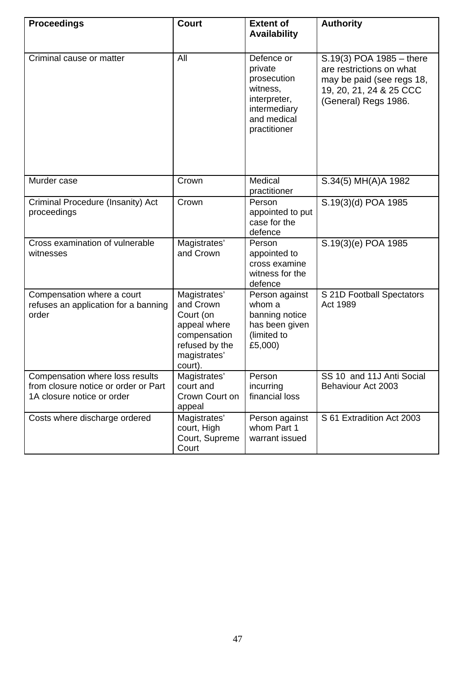| <b>Proceedings</b>                                                                                    | <b>Court</b>                                                                                                        | <b>Extent of</b><br><b>Availability</b>                                                                         | <b>Authority</b>                                                                                                                     |
|-------------------------------------------------------------------------------------------------------|---------------------------------------------------------------------------------------------------------------------|-----------------------------------------------------------------------------------------------------------------|--------------------------------------------------------------------------------------------------------------------------------------|
| Criminal cause or matter                                                                              | All                                                                                                                 | Defence or<br>private<br>prosecution<br>witness,<br>interpreter,<br>intermediary<br>and medical<br>practitioner | S.19(3) POA 1985 - there<br>are restrictions on what<br>may be paid (see regs 18,<br>19, 20, 21, 24 & 25 CCC<br>(General) Regs 1986. |
| Murder case                                                                                           | Crown                                                                                                               | Medical<br>practitioner                                                                                         | S.34(5) MH(A)A 1982                                                                                                                  |
| Criminal Procedure (Insanity) Act<br>proceedings                                                      | Crown                                                                                                               | Person<br>appointed to put<br>case for the<br>defence                                                           | S.19(3)(d) POA 1985                                                                                                                  |
| Cross examination of vulnerable<br>witnesses                                                          | Magistrates'<br>and Crown                                                                                           | Person<br>appointed to<br>cross examine<br>witness for the<br>defence                                           | S.19(3)(e) POA 1985                                                                                                                  |
| Compensation where a court<br>refuses an application for a banning<br>order                           | Magistrates'<br>and Crown<br>Court (on<br>appeal where<br>compensation<br>refused by the<br>magistrates'<br>court). | Person against<br>whom a<br>banning notice<br>has been given<br>(limited to<br>£5,000)                          | S 21D Football Spectators<br><b>Act 1989</b>                                                                                         |
| Compensation where loss results<br>from closure notice or order or Part<br>1A closure notice or order | Magistrates'<br>court and<br>Crown Court on<br>appeal                                                               | Person<br>incurring<br>financial loss                                                                           | SS 10 and 11J Anti Social<br>Behaviour Act 2003                                                                                      |
| Costs where discharge ordered                                                                         | Magistrates'<br>court, High<br>Court, Supreme<br>Court                                                              | Person against<br>whom Part 1<br>warrant issued                                                                 | S 61 Extradition Act 2003                                                                                                            |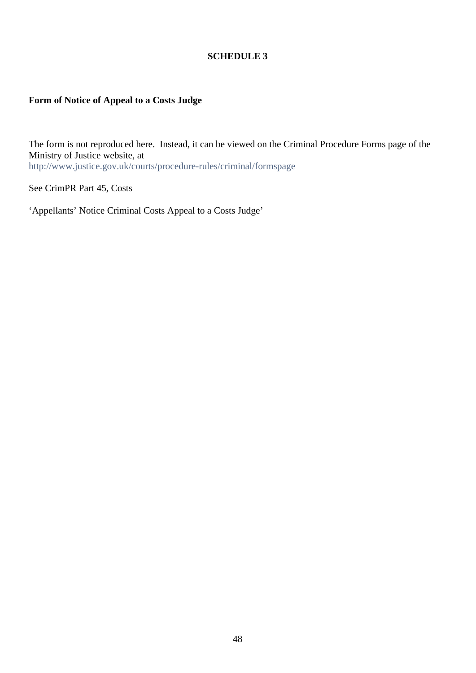# **Form of Notice of Appeal to a Costs Judge**

The form is not reproduced here. Instead, it can be viewed on the Criminal Procedure Forms page of the Ministry of Justice website, at http://www.justice.gov.uk/courts/procedure-rules/criminal/formspage

See CrimPR Part 45, Costs

'Appellants' Notice Criminal Costs Appeal to a Costs Judge'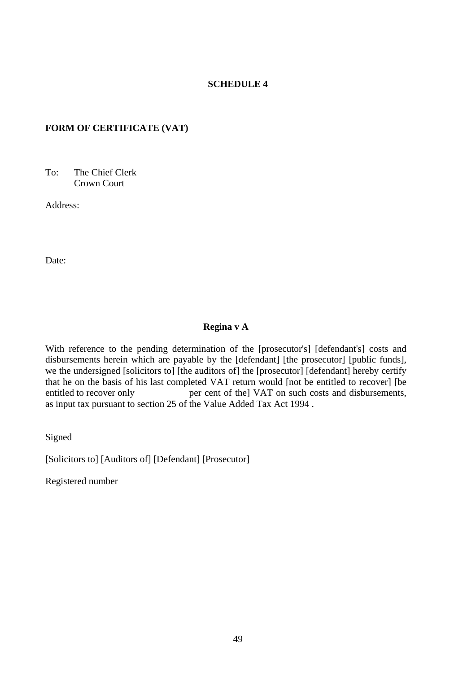# **FORM OF CERTIFICATE (VAT)**

To: The Chief Clerk Crown Court

Address:

Date:

## **Regina v A**

entitled to recover only With reference to the pending determination of the [prosecutor's] [defendant's] costs and disbursements herein which are payable by the [defendant] [the prosecutor] [public funds], we the undersigned [solicitors to] [the auditors of] the [prosecutor] [defendant] hereby certify that he on the basis of his last completed VAT return would [not be entitled to recover] [be per cent of the] VAT on such costs and disbursements, as input tax pursuant to section 25 of the Value Added Tax Act 1994 .

Signed

[Solicitors to] [Auditors of] [Defendant] [Prosecutor]

Registered number